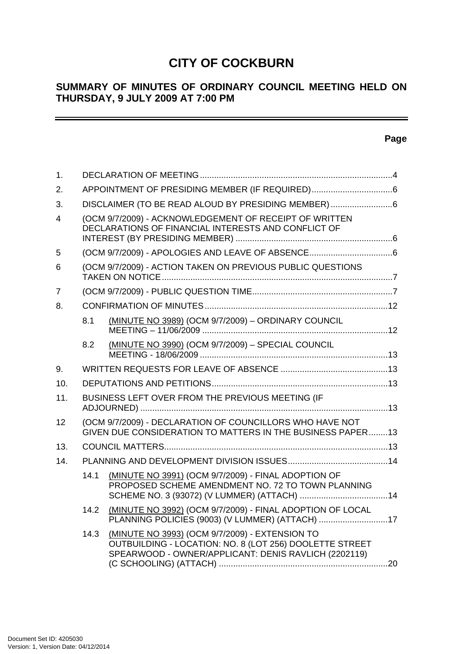# **CITY OF COCKBURN**

# **SUMMARY OF MINUTES OF ORDINARY COUNCIL MEETING HELD ON THURSDAY, 9 JULY 2009 AT 7:00 PM**

# **Page**

| $\mathbf{1}$ . |                                                    |                                                                                                                                                                   |  |  |  |
|----------------|----------------------------------------------------|-------------------------------------------------------------------------------------------------------------------------------------------------------------------|--|--|--|
| 2.             |                                                    |                                                                                                                                                                   |  |  |  |
| 3.             | DISCLAIMER (TO BE READ ALOUD BY PRESIDING MEMBER)6 |                                                                                                                                                                   |  |  |  |
| 4              |                                                    | (OCM 9/7/2009) - ACKNOWLEDGEMENT OF RECEIPT OF WRITTEN<br>DECLARATIONS OF FINANCIAL INTERESTS AND CONFLICT OF                                                     |  |  |  |
| 5              |                                                    |                                                                                                                                                                   |  |  |  |
| 6              |                                                    | (OCM 9/7/2009) - ACTION TAKEN ON PREVIOUS PUBLIC QUESTIONS                                                                                                        |  |  |  |
| 7              |                                                    |                                                                                                                                                                   |  |  |  |
| 8.             |                                                    |                                                                                                                                                                   |  |  |  |
|                | 8.1                                                | (MINUTE NO 3989) (OCM 9/7/2009) - ORDINARY COUNCIL                                                                                                                |  |  |  |
|                | 8.2                                                | (MINUTE NO 3990) (OCM 9/7/2009) - SPECIAL COUNCIL                                                                                                                 |  |  |  |
| 9.             |                                                    |                                                                                                                                                                   |  |  |  |
| 10.            |                                                    |                                                                                                                                                                   |  |  |  |
| 11.            |                                                    | BUSINESS LEFT OVER FROM THE PREVIOUS MEETING (IF                                                                                                                  |  |  |  |
| 12             |                                                    | (OCM 9/7/2009) - DECLARATION OF COUNCILLORS WHO HAVE NOT<br>GIVEN DUE CONSIDERATION TO MATTERS IN THE BUSINESS PAPER13                                            |  |  |  |
| 13.            |                                                    |                                                                                                                                                                   |  |  |  |
| 14.            |                                                    |                                                                                                                                                                   |  |  |  |
|                | 14.1                                               | (MINUTE NO 3991) (OCM 9/7/2009) - FINAL ADOPTION OF<br>PROPOSED SCHEME AMENDMENT NO. 72 TO TOWN PLANNING                                                          |  |  |  |
|                | 14.2                                               | (MINUTE NO 3992) (OCM 9/7/2009) - FINAL ADOPTION OF LOCAL<br>PLANNING POLICIES (9003) (V LUMMER) (ATTACH) 17                                                      |  |  |  |
|                | 14.3                                               | (MINUTE NO 3993) (OCM 9/7/2009) - EXTENSION TO<br>OUTBUILDING - LOCATION: NO. 8 (LOT 256) DOOLETTE STREET<br>SPEARWOOD - OWNER/APPLICANT: DENIS RAVLICH (2202119) |  |  |  |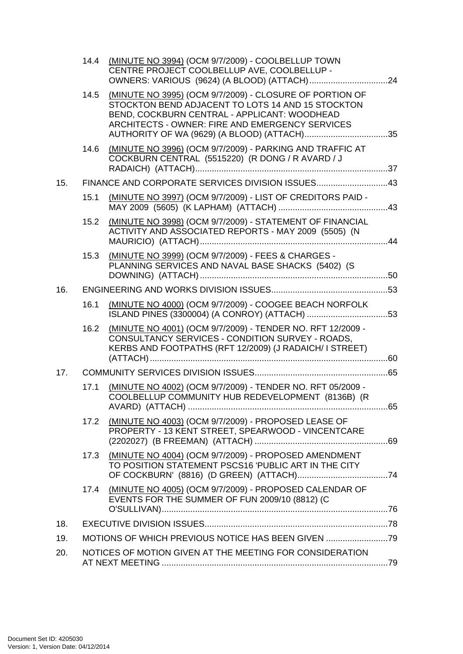|     | 14.4 | (MINUTE NO 3994) (OCM 9/7/2009) - COOLBELLUP TOWN<br>CENTRE PROJECT COOLBELLUP AVE, COOLBELLUP -                                                                                                                     |  |
|-----|------|----------------------------------------------------------------------------------------------------------------------------------------------------------------------------------------------------------------------|--|
|     |      | 14.5 (MINUTE NO 3995) (OCM 9/7/2009) - CLOSURE OF PORTION OF<br>STOCKTON BEND ADJACENT TO LOTS 14 AND 15 STOCKTON<br>BEND, COCKBURN CENTRAL - APPLICANT: WOODHEAD<br>ARCHITECTS - OWNER: FIRE AND EMERGENCY SERVICES |  |
|     | 14.6 | (MINUTE NO 3996) (OCM 9/7/2009) - PARKING AND TRAFFIC AT<br>COCKBURN CENTRAL (5515220) (R DONG / R AVARD / J                                                                                                         |  |
| 15. |      | FINANCE AND CORPORATE SERVICES DIVISION ISSUES43                                                                                                                                                                     |  |
|     | 15.1 | (MINUTE NO 3997) (OCM 9/7/2009) - LIST OF CREDITORS PAID -                                                                                                                                                           |  |
|     | 15.2 | (MINUTE NO 3998) (OCM 9/7/2009) - STATEMENT OF FINANCIAL<br>ACTIVITY AND ASSOCIATED REPORTS - MAY 2009 (5505) (N                                                                                                     |  |
|     | 15.3 | (MINUTE NO 3999) (OCM 9/7/2009) - FEES & CHARGES -<br>PLANNING SERVICES AND NAVAL BASE SHACKS (5402) (S                                                                                                              |  |
| 16. |      |                                                                                                                                                                                                                      |  |
|     | 16.1 | (MINUTE NO 4000) (OCM 9/7/2009) - COOGEE BEACH NORFOLK                                                                                                                                                               |  |
|     | 16.2 | (MINUTE NO 4001) (OCM 9/7/2009) - TENDER NO. RFT 12/2009 -<br>CONSULTANCY SERVICES - CONDITION SURVEY - ROADS,<br>KERBS AND FOOTPATHS (RFT 12/2009) (J RADAICH/ I STREET)                                            |  |
| 17. |      |                                                                                                                                                                                                                      |  |
|     | 17.1 | (MINUTE NO 4002) (OCM 9/7/2009) - TENDER NO. RFT 05/2009 -<br>COOLBELLUP COMMUNITY HUB REDEVELOPMENT (8136B) (R                                                                                                      |  |
|     | 17.2 | (MINUTE NO 4003) (OCM 9/7/2009) - PROPOSED LEASE OF<br>PROPERTY - 13 KENT STREET, SPEARWOOD - VINCENTCARE                                                                                                            |  |
|     | 17.3 | (MINUTE NO 4004) (OCM 9/7/2009) - PROPOSED AMENDMENT<br>TO POSITION STATEMENT PSCS16 'PUBLIC ART IN THE CITY                                                                                                         |  |
|     | 17.4 | (MINUTE NO 4005) (OCM 9/7/2009) - PROPOSED CALENDAR OF<br>EVENTS FOR THE SUMMER OF FUN 2009/10 (8812) (C                                                                                                             |  |
| 18. |      |                                                                                                                                                                                                                      |  |
| 19. |      | MOTIONS OF WHICH PREVIOUS NOTICE HAS BEEN GIVEN 79                                                                                                                                                                   |  |
| 20. |      | NOTICES OF MOTION GIVEN AT THE MEETING FOR CONSIDERATION                                                                                                                                                             |  |
|     |      |                                                                                                                                                                                                                      |  |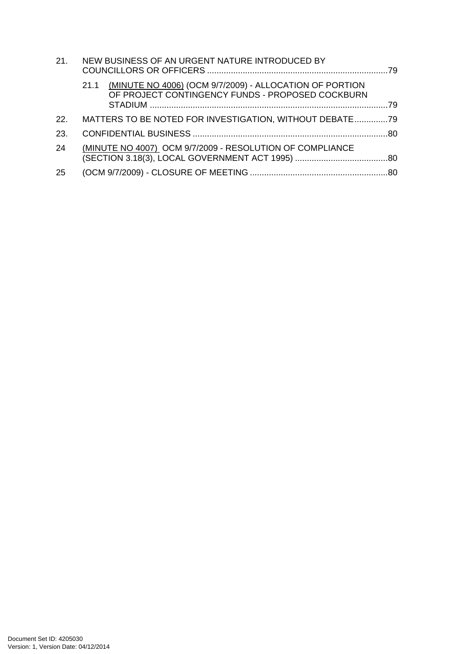| 21. | NEW BUSINESS OF AN URGENT NATURE INTRODUCED BY                                                                      |  |
|-----|---------------------------------------------------------------------------------------------------------------------|--|
|     | (MINUTE NO 4006) (OCM 9/7/2009) - ALLOCATION OF PORTION<br>21.1<br>OF PROJECT CONTINGENCY FUNDS - PROPOSED COCKBURN |  |
| 22. | MATTERS TO BE NOTED FOR INVESTIGATION, WITHOUT DEBATE79                                                             |  |
| 23. |                                                                                                                     |  |
| 24  | (MINUTE NO 4007) OCM 9/7/2009 - RESOLUTION OF COMPLIANCE                                                            |  |
| 25  |                                                                                                                     |  |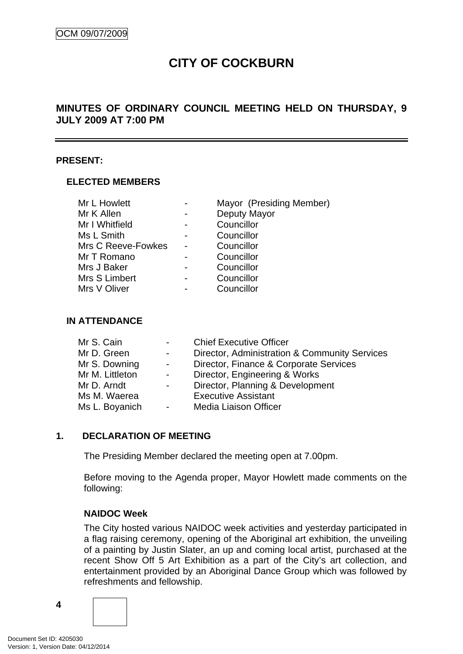# **CITY OF COCKBURN**

# <span id="page-3-0"></span>**MINUTES OF ORDINARY COUNCIL MEETING HELD ON THURSDAY, 9 JULY 2009 AT 7:00 PM**

#### **PRESENT:**

#### **ELECTED MEMBERS**

| Mr L Howlett       |                | Mayor (Presiding Member) |
|--------------------|----------------|--------------------------|
| Mr K Allen         | $\blacksquare$ | Deputy Mayor             |
| Mr I Whitfield     | -              | Councillor               |
| Ms L Smith         |                | Councillor               |
| Mrs C Reeve-Fowkes |                | Councillor               |
| Mr T Romano        |                | Councillor               |
| Mrs J Baker        |                | Councillor               |
| Mrs S Limbert      |                | Councillor               |
| Mrs V Oliver       |                | Councillor               |

#### **IN ATTENDANCE**

| $\sim 100$      | <b>Chief Executive Officer</b>                |
|-----------------|-----------------------------------------------|
| $\sim 100$      | Director, Administration & Community Services |
| $\sim 100$      | Director, Finance & Corporate Services        |
| $\sim 100$      | Director, Engineering & Works                 |
| $\sim$ 10 $\pm$ | Director, Planning & Development              |
|                 | <b>Executive Assistant</b>                    |
| $\sim 100$      | Media Liaison Officer                         |
|                 |                                               |

#### **1. DECLARATION OF MEETING**

The Presiding Member declared the meeting open at 7.00pm.

 Before moving to the Agenda proper, Mayor Howlett made comments on the following:

#### **NAIDOC Week**

The City hosted various NAIDOC week activities and yesterday participated in a flag raising ceremony, opening of the Aboriginal art exhibition, the unveiling of a painting by Justin Slater, an up and coming local artist, purchased at the recent Show Off 5 Art Exhibition as a part of the City's art collection, and entertainment provided by an Aboriginal Dance Group which was followed by refreshments and fellowship.

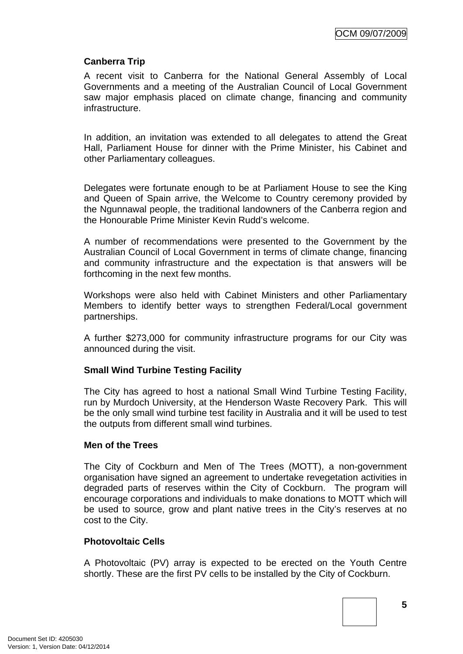### **Canberra Trip**

A recent visit to Canberra for the National General Assembly of Local Governments and a meeting of the Australian Council of Local Government saw major emphasis placed on climate change, financing and community infrastructure.

In addition, an invitation was extended to all delegates to attend the Great Hall, Parliament House for dinner with the Prime Minister, his Cabinet and other Parliamentary colleagues.

Delegates were fortunate enough to be at Parliament House to see the King and Queen of Spain arrive, the Welcome to Country ceremony provided by the Ngunnawal people, the traditional landowners of the Canberra region and the Honourable Prime Minister Kevin Rudd's welcome.

A number of recommendations were presented to the Government by the Australian Council of Local Government in terms of climate change, financing and community infrastructure and the expectation is that answers will be forthcoming in the next few months.

Workshops were also held with Cabinet Ministers and other Parliamentary Members to identify better ways to strengthen Federal/Local government partnerships.

A further \$273,000 for community infrastructure programs for our City was announced during the visit.

#### **Small Wind Turbine Testing Facility**

The City has agreed to host a national Small Wind Turbine Testing Facility, run by Murdoch University, at the Henderson Waste Recovery Park. This will be the only small wind turbine test facility in Australia and it will be used to test the outputs from different small wind turbines.

#### **Men of the Trees**

The City of Cockburn and Men of The Trees (MOTT), a non-government organisation have signed an agreement to undertake revegetation activities in degraded parts of reserves within the City of Cockburn. The program will encourage corporations and individuals to make donations to MOTT which will be used to source, grow and plant native trees in the City's reserves at no cost to the City.

#### **Photovoltaic Cells**

A Photovoltaic (PV) array is expected to be erected on the Youth Centre shortly. These are the first PV cells to be installed by the City of Cockburn.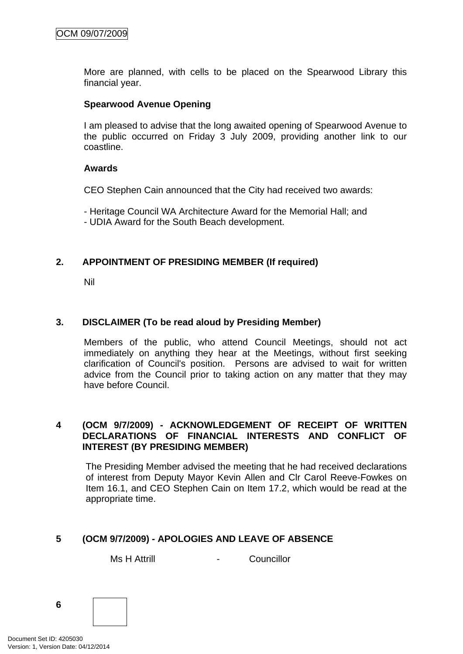<span id="page-5-0"></span>More are planned, with cells to be placed on the Spearwood Library this financial year.

### **Spearwood Avenue Opening**

I am pleased to advise that the long awaited opening of Spearwood Avenue to the public occurred on Friday 3 July 2009, providing another link to our coastline.

#### **Awards**

CEO Stephen Cain announced that the City had received two awards:

 - Heritage Council WA Architecture Award for the Memorial Hall; and - UDIA Award for the South Beach development.

# **2. APPOINTMENT OF PRESIDING MEMBER (If required)**

Nil

# **3. DISCLAIMER (To be read aloud by Presiding Member)**

Members of the public, who attend Council Meetings, should not act immediately on anything they hear at the Meetings, without first seeking clarification of Council's position. Persons are advised to wait for written advice from the Council prior to taking action on any matter that they may have before Council.

#### **4 (OCM 9/7/2009) - ACKNOWLEDGEMENT OF RECEIPT OF WRITTEN DECLARATIONS OF FINANCIAL INTERESTS AND CONFLICT OF INTEREST (BY PRESIDING MEMBER)**

The Presiding Member advised the meeting that he had received declarations of interest from Deputy Mayor Kevin Allen and Clr Carol Reeve-Fowkes on Item 16.1, and CEO Stephen Cain on Item 17.2, which would be read at the appropriate time.

# **5 (OCM 9/7/2009) - APOLOGIES AND LEAVE OF ABSENCE**

Ms H Attrill The Councillor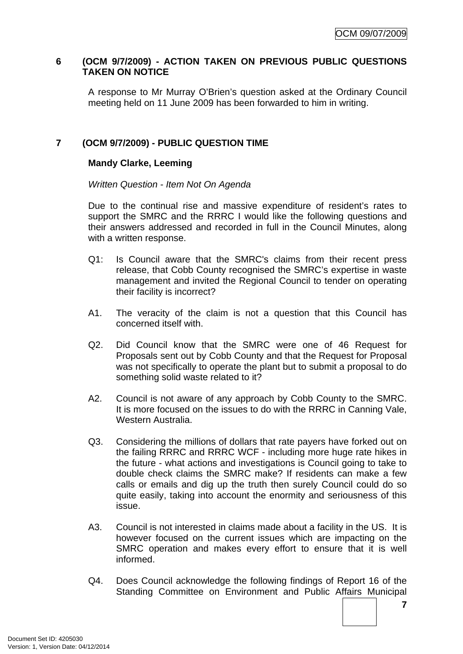### <span id="page-6-0"></span>**6 (OCM 9/7/2009) - ACTION TAKEN ON PREVIOUS PUBLIC QUESTIONS TAKEN ON NOTICE**

A response to Mr Murray O'Brien's question asked at the Ordinary Council meeting held on 11 June 2009 has been forwarded to him in writing.

# **7 (OCM 9/7/2009) - PUBLIC QUESTION TIME**

### **Mandy Clarke, Leeming**

*Written Question - Item Not On Agenda* 

Due to the continual rise and massive expenditure of resident's rates to support the SMRC and the RRRC I would like the following questions and their answers addressed and recorded in full in the Council Minutes, along with a written response.

- Q1: Is Council aware that the SMRC's claims from their recent press release, that Cobb County recognised the SMRC's expertise in waste management and invited the Regional Council to tender on operating their facility is incorrect?
- A1. The veracity of the claim is not a question that this Council has concerned itself with.
- Q2. Did Council know that the SMRC were one of 46 Request for Proposals sent out by Cobb County and that the Request for Proposal was not specifically to operate the plant but to submit a proposal to do something solid waste related to it?
- A2. Council is not aware of any approach by Cobb County to the SMRC. It is more focused on the issues to do with the RRRC in Canning Vale, Western Australia.
- Q3. Considering the millions of dollars that rate payers have forked out on the failing RRRC and RRRC WCF - including more huge rate hikes in the future - what actions and investigations is Council going to take to double check claims the SMRC make? If residents can make a few calls or emails and dig up the truth then surely Council could do so quite easily, taking into account the enormity and seriousness of this issue.
- A3. Council is not interested in claims made about a facility in the US. It is however focused on the current issues which are impacting on the SMRC operation and makes every effort to ensure that it is well informed.
- Q4. Does Council acknowledge the following findings of Report 16 of the Standing Committee on Environment and Public Affairs Municipal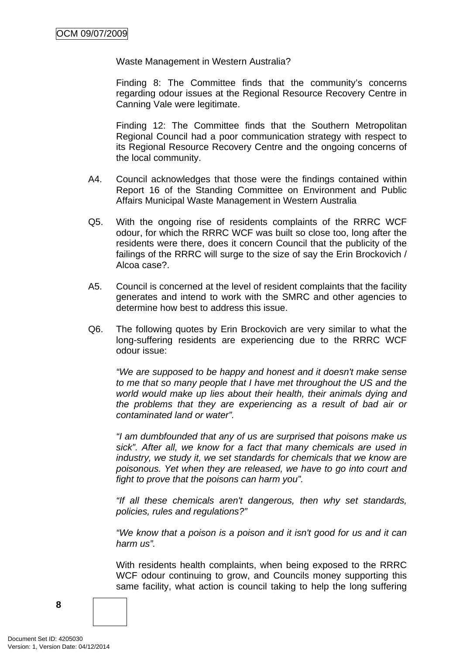Waste Management in Western Australia?

Finding 8: The Committee finds that the community's concerns regarding odour issues at the Regional Resource Recovery Centre in Canning Vale were legitimate.

Finding 12: The Committee finds that the Southern Metropolitan Regional Council had a poor communication strategy with respect to its Regional Resource Recovery Centre and the ongoing concerns of the local community.

- A4. Council acknowledges that those were the findings contained within Report 16 of the Standing Committee on Environment and Public Affairs Municipal Waste Management in Western Australia
- Q5. With the ongoing rise of residents complaints of the RRRC WCF odour, for which the RRRC WCF was built so close too, long after the residents were there, does it concern Council that the publicity of the failings of the RRRC will surge to the size of say the Erin Brockovich / Alcoa case?.
- A5. Council is concerned at the level of resident complaints that the facility generates and intend to work with the SMRC and other agencies to determine how best to address this issue.
- Q6. The following quotes by Erin Brockovich are very similar to what the long-suffering residents are experiencing due to the RRRC WCF odour issue:

*"We are supposed to be happy and honest and it doesn't make sense to me that so many people that I have met throughout the US and the world would make up lies about their health, their animals dying and the problems that they are experiencing as a result of bad air or contaminated land or water".* 

*"I am dumbfounded that any of us are surprised that poisons make us sick". After all, we know for a fact that many chemicals are used in industry, we study it, we set standards for chemicals that we know are poisonous. Yet when they are released, we have to go into court and fight to prove that the poisons can harm you".* 

*"If all these chemicals aren't dangerous, then why set standards, policies, rules and regulations?"* 

*"We know that a poison is a poison and it isn't good for us and it can harm us".* 

With residents health complaints, when being exposed to the RRRC WCF odour continuing to grow, and Councils money supporting this same facility, what action is council taking to help the long suffering

**8**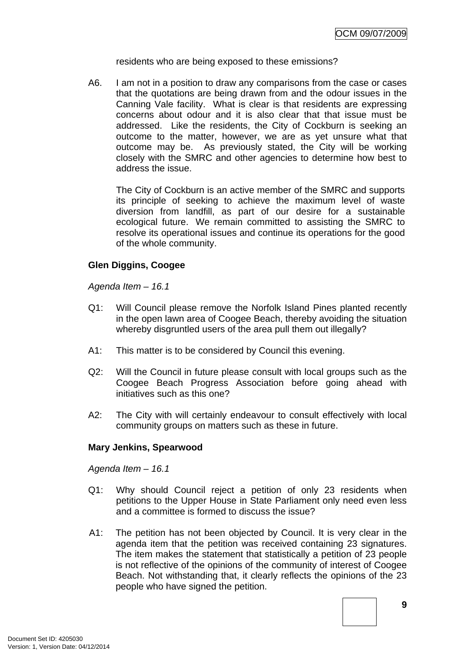residents who are being exposed to these emissions?

A6. I am not in a position to draw any comparisons from the case or cases that the quotations are being drawn from and the odour issues in the Canning Vale facility. What is clear is that residents are expressing concerns about odour and it is also clear that that issue must be addressed. Like the residents, the City of Cockburn is seeking an outcome to the matter, however, we are as yet unsure what that outcome may be. As previously stated, the City will be working closely with the SMRC and other agencies to determine how best to address the issue.

The City of Cockburn is an active member of the SMRC and supports its principle of seeking to achieve the maximum level of waste diversion from landfill, as part of our desire for a sustainable ecological future. We remain committed to assisting the SMRC to resolve its operational issues and continue its operations for the good of the whole community.

# **Glen Diggins, Coogee**

*Agenda Item – 16.1* 

- Q1: Will Council please remove the Norfolk Island Pines planted recently in the open lawn area of Coogee Beach, thereby avoiding the situation whereby disgruntled users of the area pull them out illegally?
- A1: This matter is to be considered by Council this evening.
- Q2: Will the Council in future please consult with local groups such as the Coogee Beach Progress Association before going ahead with initiatives such as this one?
- A2: The City with will certainly endeavour to consult effectively with local community groups on matters such as these in future.

# **Mary Jenkins, Spearwood**

*Agenda Item – 16.1* 

- Q1: Why should Council reject a petition of only 23 residents when petitions to the Upper House in State Parliament only need even less and a committee is formed to discuss the issue?
- A1: The petition has not been objected by Council. It is very clear in the agenda item that the petition was received containing 23 signatures. The item makes the statement that statistically a petition of 23 people is not reflective of the opinions of the community of interest of Coogee Beach. Not withstanding that, it clearly reflects the opinions of the 23 people who have signed the petition.

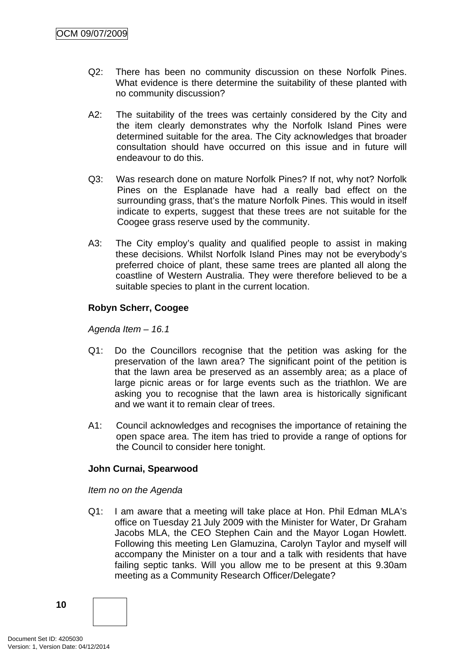- Q2: There has been no community discussion on these Norfolk Pines. What evidence is there determine the suitability of these planted with no community discussion?
- A2: The suitability of the trees was certainly considered by the City and the item clearly demonstrates why the Norfolk Island Pines were determined suitable for the area. The City acknowledges that broader consultation should have occurred on this issue and in future will endeavour to do this.
- Q3: Was research done on mature Norfolk Pines? If not, why not? Norfolk Pines on the Esplanade have had a really bad effect on the surrounding grass, that's the mature Norfolk Pines. This would in itself indicate to experts, suggest that these trees are not suitable for the Coogee grass reserve used by the community.
- A3: The City employ's quality and qualified people to assist in making these decisions. Whilst Norfolk Island Pines may not be everybody's preferred choice of plant, these same trees are planted all along the coastline of Western Australia. They were therefore believed to be a suitable species to plant in the current location.

# **Robyn Scherr, Coogee**

*Agenda Item – 16.1* 

- Q1: Do the Councillors recognise that the petition was asking for the preservation of the lawn area? The significant point of the petition is that the lawn area be preserved as an assembly area; as a place of large picnic areas or for large events such as the triathlon. We are asking you to recognise that the lawn area is historically significant and we want it to remain clear of trees.
- A1: Council acknowledges and recognises the importance of retaining the open space area. The item has tried to provide a range of options for the Council to consider here tonight.

#### **John Curnai, Spearwood**

*Item no on the Agenda* 

Q1: I am aware that a meeting will take place at Hon. Phil Edman MLA's office on Tuesday 21 July 2009 with the Minister for Water, Dr Graham Jacobs MLA, the CEO Stephen Cain and the Mayor Logan Howlett. Following this meeting Len Glamuzina, Carolyn Taylor and myself will accompany the Minister on a tour and a talk with residents that have failing septic tanks. Will you allow me to be present at this 9.30am meeting as a Community Research Officer/Delegate?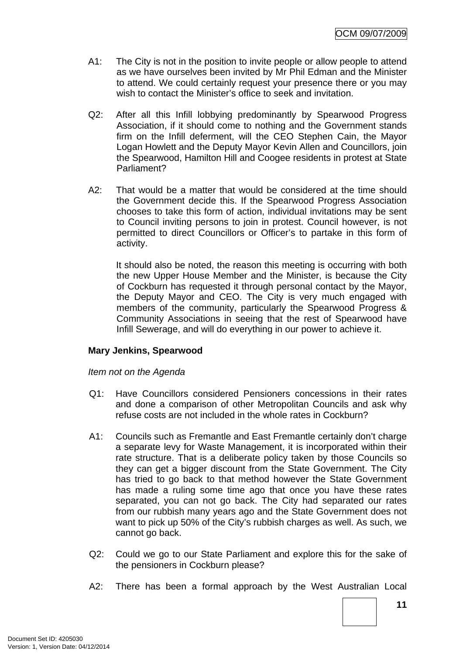- <span id="page-10-0"></span>A1: The City is not in the position to invite people or allow people to attend as we have ourselves been invited by Mr Phil Edman and the Minister to attend. We could certainly request your presence there or you may wish to contact the Minister's office to seek and invitation.
- Q2: After all this Infill lobbying predominantly by Spearwood Progress Association, if it should come to nothing and the Government stands firm on the Infill deferment, will the CEO Stephen Cain, the Mayor Logan Howlett and the Deputy Mayor Kevin Allen and Councillors, join the Spearwood, Hamilton Hill and Coogee residents in protest at State Parliament?
- A2: That would be a matter that would be considered at the time should the Government decide this. If the Spearwood Progress Association chooses to take this form of action, individual invitations may be sent to Council inviting persons to join in protest. Council however, is not permitted to direct Councillors or Officer's to partake in this form of activity.

 It should also be noted, the reason this meeting is occurring with both the new Upper House Member and the Minister, is because the City of Cockburn has requested it through personal contact by the Mayor, the Deputy Mayor and CEO. The City is very much engaged with members of the community, particularly the Spearwood Progress & Community Associations in seeing that the rest of Spearwood have Infill Sewerage, and will do everything in our power to achieve it.

# **Mary Jenkins, Spearwood**

#### *Item not on the Agenda*

- Q1: Have Councillors considered Pensioners concessions in their rates and done a comparison of other Metropolitan Councils and ask why refuse costs are not included in the whole rates in Cockburn?
- A1: Councils such as Fremantle and East Fremantle certainly don't charge a separate levy for Waste Management, it is incorporated within their rate structure. That is a deliberate policy taken by those Councils so they can get a bigger discount from the State Government. The City has tried to go back to that method however the State Government has made a ruling some time ago that once you have these rates separated, you can not go back. The City had separated our rates from our rubbish many years ago and the State Government does not want to pick up 50% of the City's rubbish charges as well. As such, we cannot go back.
- Q2: Could we go to our State Parliament and explore this for the sake of the pensioners in Cockburn please?
- A2: There has been a formal approach by the West Australian Local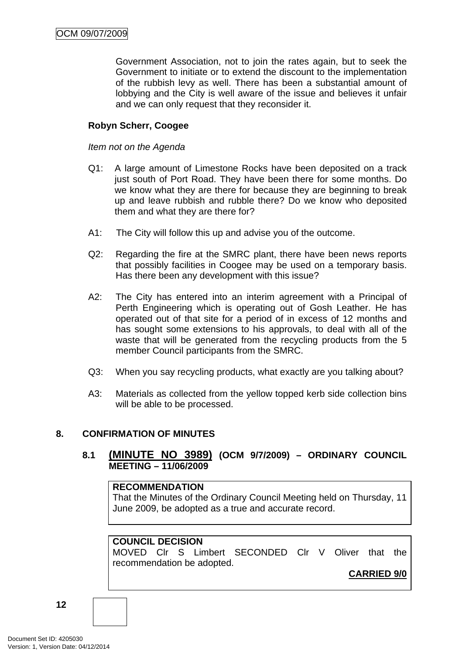Government Association, not to join the rates again, but to seek the Government to initiate or to extend the discount to the implementation of the rubbish levy as well. There has been a substantial amount of lobbying and the City is well aware of the issue and believes it unfair and we can only request that they reconsider it.

# **Robyn Scherr, Coogee**

#### *Item not on the Agenda*

- Q1: A large amount of Limestone Rocks have been deposited on a track just south of Port Road. They have been there for some months. Do we know what they are there for because they are beginning to break up and leave rubbish and rubble there? Do we know who deposited them and what they are there for?
- A1: The City will follow this up and advise you of the outcome.
- Q2: Regarding the fire at the SMRC plant, there have been news reports that possibly facilities in Coogee may be used on a temporary basis. Has there been any development with this issue?
- A2: The City has entered into an interim agreement with a Principal of Perth Engineering which is operating out of Gosh Leather. He has operated out of that site for a period of in excess of 12 months and has sought some extensions to his approvals, to deal with all of the waste that will be generated from the recycling products from the 5 member Council participants from the SMRC.
- Q3: When you say recycling products, what exactly are you talking about?
- A3: Materials as collected from the yellow topped kerb side collection bins will be able to be processed.

#### **8. CONFIRMATION OF MINUTES**

# **8.1 (MINUTE NO 3989) (OCM 9/7/2009) – ORDINARY COUNCIL MEETING – 11/06/2009**

#### **RECOMMENDATION**

That the Minutes of the Ordinary Council Meeting held on Thursday, 11 June 2009, be adopted as a true and accurate record.

# **COUNCIL DECISION**

MOVED Clr S Limbert SECONDED Clr V Oliver that the recommendation be adopted.

**CARRIED 9/0**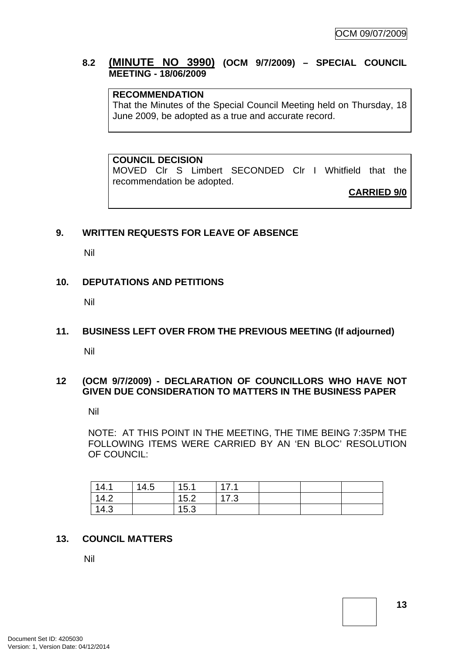# <span id="page-12-0"></span>**8.2 (MINUTE NO 3990) (OCM 9/7/2009) – SPECIAL COUNCIL MEETING - 18/06/2009**

# **RECOMMENDATION**

That the Minutes of the Special Council Meeting held on Thursday, 18 June 2009, be adopted as a true and accurate record.

**COUNCIL DECISION** 

MOVED Clr S Limbert SECONDED Clr I Whitfield that the recommendation be adopted.

**CARRIED 9/0**

#### **9. WRITTEN REQUESTS FOR LEAVE OF ABSENCE**

Nil

#### **10. DEPUTATIONS AND PETITIONS**

Nil

#### **11. BUSINESS LEFT OVER FROM THE PREVIOUS MEETING (If adjourned)**

Nil

#### **12 (OCM 9/7/2009) - DECLARATION OF COUNCILLORS WHO HAVE NOT GIVEN DUE CONSIDERATION TO MATTERS IN THE BUSINESS PAPER**

Nil

NOTE: AT THIS POINT IN THE MEETING, THE TIME BEING 7:35PM THE FOLLOWING ITEMS WERE CARRIED BY AN 'EN BLOC' RESOLUTION OF COUNCIL:

| 14.1 | 14.5 | 15.1 | 17 <sub>1</sub> |  |  |
|------|------|------|-----------------|--|--|
| 14.2 |      | 15.2 | 17.3            |  |  |
| 14.3 |      | 15.3 |                 |  |  |

#### **13. COUNCIL MATTERS**

Nil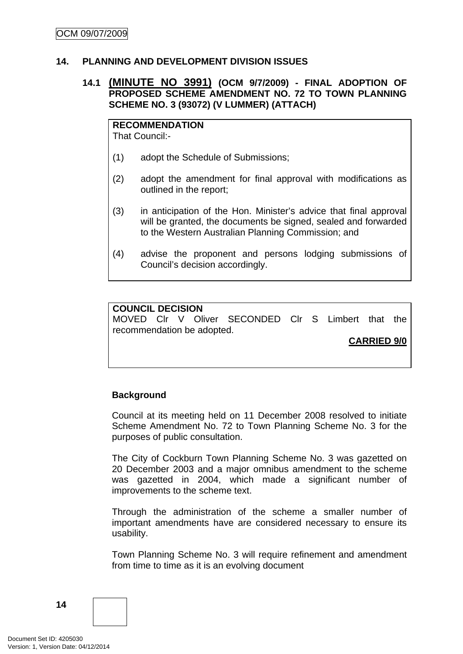#### <span id="page-13-0"></span>**14. PLANNING AND DEVELOPMENT DIVISION ISSUES**

#### **14.1 (MINUTE NO 3991) (OCM 9/7/2009) - FINAL ADOPTION OF PROPOSED SCHEME AMENDMENT NO. 72 TO TOWN PLANNING SCHEME NO. 3 (93072) (V LUMMER) (ATTACH)**

**RECOMMENDATION** That Council:-

- (1) adopt the Schedule of Submissions;
- (2) adopt the amendment for final approval with modifications as outlined in the report;
- (3) in anticipation of the Hon. Minister's advice that final approval will be granted, the documents be signed, sealed and forwarded to the Western Australian Planning Commission; and
- (4) advise the proponent and persons lodging submissions of Council's decision accordingly.

#### **COUNCIL DECISION**

MOVED Clr V Oliver SECONDED Clr S Limbert that the recommendation be adopted.

**CARRIED 9/0**

#### **Background**

Council at its meeting held on 11 December 2008 resolved to initiate Scheme Amendment No. 72 to Town Planning Scheme No. 3 for the purposes of public consultation.

The City of Cockburn Town Planning Scheme No. 3 was gazetted on 20 December 2003 and a major omnibus amendment to the scheme was gazetted in 2004, which made a significant number of improvements to the scheme text.

Through the administration of the scheme a smaller number of important amendments have are considered necessary to ensure its usability.

Town Planning Scheme No. 3 will require refinement and amendment from time to time as it is an evolving document

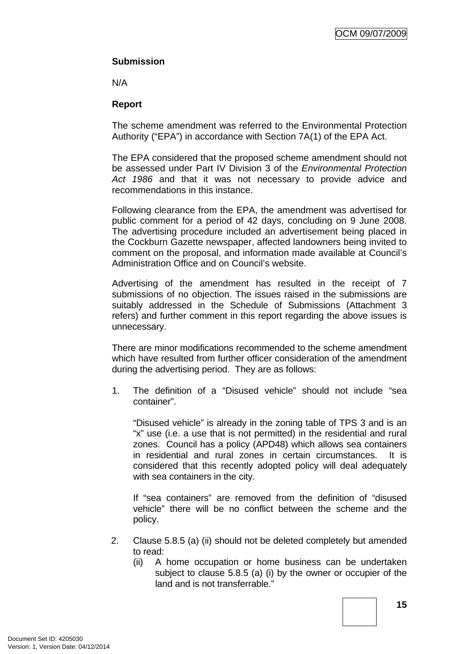# **Submission**

N/A

# **Report**

The scheme amendment was referred to the Environmental Protection Authority ("EPA") in accordance with Section 7A(1) of the EPA Act.

The EPA considered that the proposed scheme amendment should not be assessed under Part IV Division 3 of the *Environmental Protection Act 1986* and that it was not necessary to provide advice and recommendations in this instance.

Following clearance from the EPA, the amendment was advertised for public comment for a period of 42 days, concluding on 9 June 2008. The advertising procedure included an advertisement being placed in the Cockburn Gazette newspaper, affected landowners being invited to comment on the proposal, and information made available at Council's Administration Office and on Council's website.

Advertising of the amendment has resulted in the receipt of 7 submissions of no objection. The issues raised in the submissions are suitably addressed in the Schedule of Submissions (Attachment 3 refers) and further comment in this report regarding the above issues is unnecessary.

There are minor modifications recommended to the scheme amendment which have resulted from further officer consideration of the amendment during the advertising period. They are as follows:

1. The definition of a "Disused vehicle" should not include "sea container".

"Disused vehicle" is already in the zoning table of TPS 3 and is an "x" use (i.e. a use that is not permitted) in the residential and rural zones. Council has a policy (APD48) which allows sea containers in residential and rural zones in certain circumstances. It is considered that this recently adopted policy will deal adequately with sea containers in the city.

If "sea containers" are removed from the definition of "disused vehicle" there will be no conflict between the scheme and the policy.

- 2. Clause 5.8.5 (a) (ii) should not be deleted completely but amended to read:
	- (ii) A home occupation or home business can be undertaken subject to clause 5.8.5 (a) (i) by the owner or occupier of the land and is not transferrable."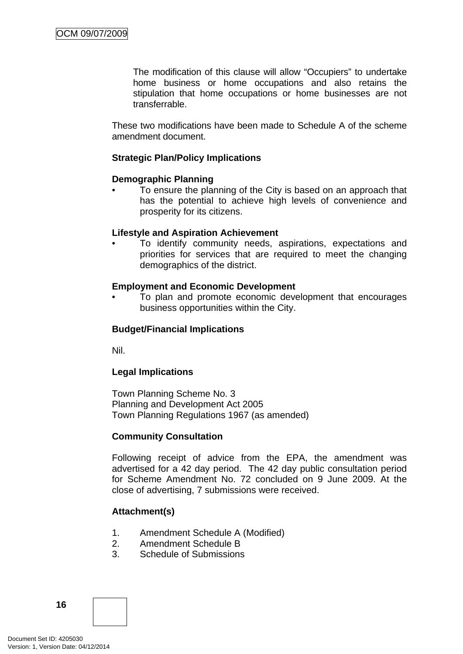The modification of this clause will allow "Occupiers" to undertake home business or home occupations and also retains the stipulation that home occupations or home businesses are not transferrable.

These two modifications have been made to Schedule A of the scheme amendment document.

# **Strategic Plan/Policy Implications**

#### **Demographic Planning**

• To ensure the planning of the City is based on an approach that has the potential to achieve high levels of convenience and prosperity for its citizens.

#### **Lifestyle and Aspiration Achievement**

To identify community needs, aspirations, expectations and priorities for services that are required to meet the changing demographics of the district.

#### **Employment and Economic Development**

• To plan and promote economic development that encourages business opportunities within the City.

#### **Budget/Financial Implications**

Nil.

#### **Legal Implications**

Town Planning Scheme No. 3 Planning and Development Act 2005 Town Planning Regulations 1967 (as amended)

#### **Community Consultation**

Following receipt of advice from the EPA, the amendment was advertised for a 42 day period. The 42 day public consultation period for Scheme Amendment No. 72 concluded on 9 June 2009. At the close of advertising, 7 submissions were received.

#### **Attachment(s)**

- 1. Amendment Schedule A (Modified)
- 2. Amendment Schedule B
- 3. Schedule of Submissions

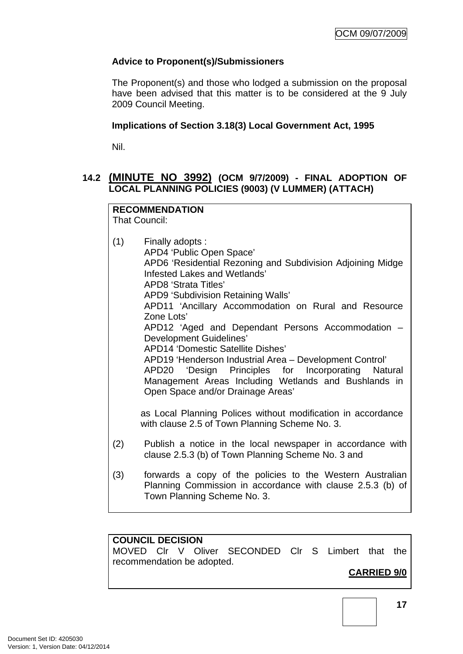# <span id="page-16-0"></span>**Advice to Proponent(s)/Submissioners**

The Proponent(s) and those who lodged a submission on the proposal have been advised that this matter is to be considered at the 9 July 2009 Council Meeting.

### **Implications of Section 3.18(3) Local Government Act, 1995**

Nil.

# **14.2 (MINUTE NO 3992) (OCM 9/7/2009) - FINAL ADOPTION OF LOCAL PLANNING POLICIES (9003) (V LUMMER) (ATTACH)**

# **RECOMMENDATION**

That Council:

(1) Finally adopts : APD4 'Public Open Space' APD6 'Residential Rezoning and Subdivision Adjoining Midge Infested Lakes and Wetlands' APD8 'Strata Titles' APD9 'Subdivision Retaining Walls' APD11 'Ancillary Accommodation on Rural and Resource Zone Lots' APD12 'Aged and Dependant Persons Accommodation – Development Guidelines' APD14 'Domestic Satellite Dishes' APD19 'Henderson Industrial Area – Development Control' APD20 'Design Principles for Incorporating Natural Management Areas Including Wetlands and Bushlands in Open Space and/or Drainage Areas' as Local Planning Polices without modification in accordance with clause 2.5 of Town Planning Scheme No. 3. (2) Publish a notice in the local newspaper in accordance with clause 2.5.3 (b) of Town Planning Scheme No. 3 and (3) forwards a copy of the policies to the Western Australian Planning Commission in accordance with clause 2.5.3 (b) of Town Planning Scheme No. 3.

# **COUNCIL DECISION**

MOVED Clr V Oliver SECONDED Clr S Limbert that the recommendation be adopted.

# **CARRIED 9/0**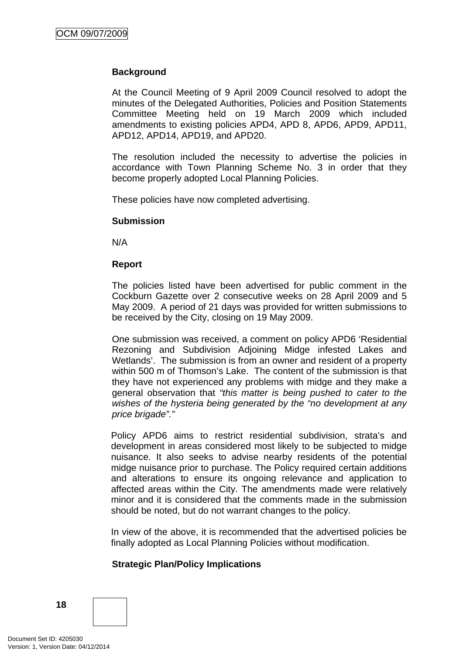# **Background**

At the Council Meeting of 9 April 2009 Council resolved to adopt the minutes of the Delegated Authorities, Policies and Position Statements Committee Meeting held on 19 March 2009 which included amendments to existing policies APD4, APD 8, APD6, APD9, APD11, APD12, APD14, APD19, and APD20.

The resolution included the necessity to advertise the policies in accordance with Town Planning Scheme No. 3 in order that they become properly adopted Local Planning Policies.

These policies have now completed advertising.

#### **Submission**

N/A

#### **Report**

The policies listed have been advertised for public comment in the Cockburn Gazette over 2 consecutive weeks on 28 April 2009 and 5 May 2009. A period of 21 days was provided for written submissions to be received by the City, closing on 19 May 2009.

One submission was received, a comment on policy APD6 'Residential Rezoning and Subdivision Adjoining Midge infested Lakes and Wetlands'. The submission is from an owner and resident of a property within 500 m of Thomson's Lake. The content of the submission is that they have not experienced any problems with midge and they make a general observation that *"this matter is being pushed to cater to the wishes of the hysteria being generated by the "no development at any price brigade"."* 

Policy APD6 aims to restrict residential subdivision, strata's and development in areas considered most likely to be subjected to midge nuisance. It also seeks to advise nearby residents of the potential midge nuisance prior to purchase. The Policy required certain additions and alterations to ensure its ongoing relevance and application to affected areas within the City. The amendments made were relatively minor and it is considered that the comments made in the submission should be noted, but do not warrant changes to the policy.

In view of the above, it is recommended that the advertised policies be finally adopted as Local Planning Policies without modification.

#### **Strategic Plan/Policy Implications**

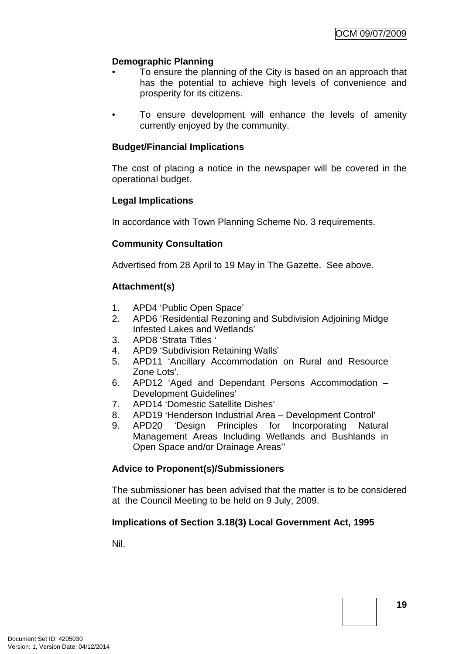# **Demographic Planning**

- To ensure the planning of the City is based on an approach that has the potential to achieve high levels of convenience and prosperity for its citizens.
- To ensure development will enhance the levels of amenity currently enjoyed by the community.

### **Budget/Financial Implications**

The cost of placing a notice in the newspaper will be covered in the operational budget.

# **Legal Implications**

In accordance with Town Planning Scheme No. 3 requirements.

#### **Community Consultation**

Advertised from 28 April to 19 May in The Gazette. See above.

# **Attachment(s)**

- 1. APD4 'Public Open Space'
- 2. APD6 'Residential Rezoning and Subdivision Adjoining Midge Infested Lakes and Wetlands'
- 3. APD8 'Strata Titles '
- 4. APD9 'Subdivision Retaining Walls'
- 5. APD11 'Ancillary Accommodation on Rural and Resource Zone Lots'.
- 6. APD12 'Aged and Dependant Persons Accommodation Development Guidelines'
- 7. APD14 'Domestic Satellite Dishes'
- 8. APD19 'Henderson Industrial Area Development Control'
- 9. APD20 'Design Principles for Incorporating Natural Management Areas Including Wetlands and Bushlands in Open Space and/or Drainage Areas''

#### **Advice to Proponent(s)/Submissioners**

The submissioner has been advised that the matter is to be considered at the Council Meeting to be held on 9 July, 2009.

#### **Implications of Section 3.18(3) Local Government Act, 1995**

Nil.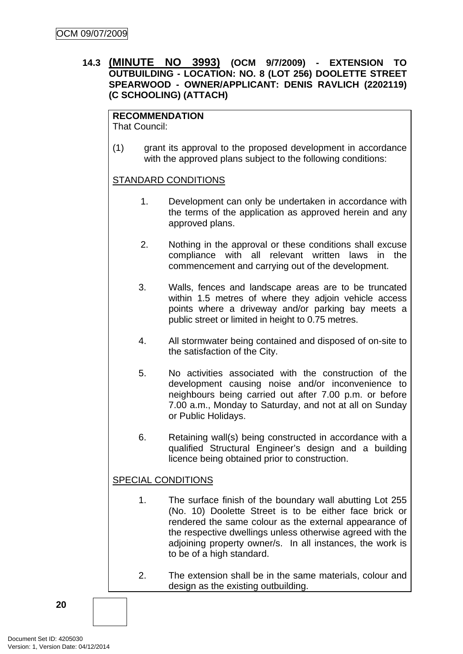# <span id="page-19-0"></span>**14.3 (MINUTE NO 3993) (OCM 9/7/2009) - EXTENSION TO OUTBUILDING - LOCATION: NO. 8 (LOT 256) DOOLETTE STREET SPEARWOOD - OWNER/APPLICANT: DENIS RAVLICH (2202119) (C SCHOOLING) (ATTACH)**

# **RECOMMENDATION**

That Council:

(1) grant its approval to the proposed development in accordance with the approved plans subject to the following conditions:

# STANDARD CONDITIONS

- 1. Development can only be undertaken in accordance with the terms of the application as approved herein and any approved plans.
- 2. Nothing in the approval or these conditions shall excuse compliance with all relevant written laws in the commencement and carrying out of the development.
- 3. Walls, fences and landscape areas are to be truncated within 1.5 metres of where they adjoin vehicle access points where a driveway and/or parking bay meets a public street or limited in height to 0.75 metres.
- 4. All stormwater being contained and disposed of on-site to the satisfaction of the City.
- 5. No activities associated with the construction of the development causing noise and/or inconvenience to neighbours being carried out after 7.00 p.m. or before 7.00 a.m., Monday to Saturday, and not at all on Sunday or Public Holidays.
- 6. Retaining wall(s) being constructed in accordance with a qualified Structural Engineer's design and a building licence being obtained prior to construction.

# SPECIAL CONDITIONS

- 1. The surface finish of the boundary wall abutting Lot 255 (No. 10) Doolette Street is to be either face brick or rendered the same colour as the external appearance of the respective dwellings unless otherwise agreed with the adjoining property owner/s. In all instances, the work is to be of a high standard.
- 2. The extension shall be in the same materials, colour and design as the existing outbuilding.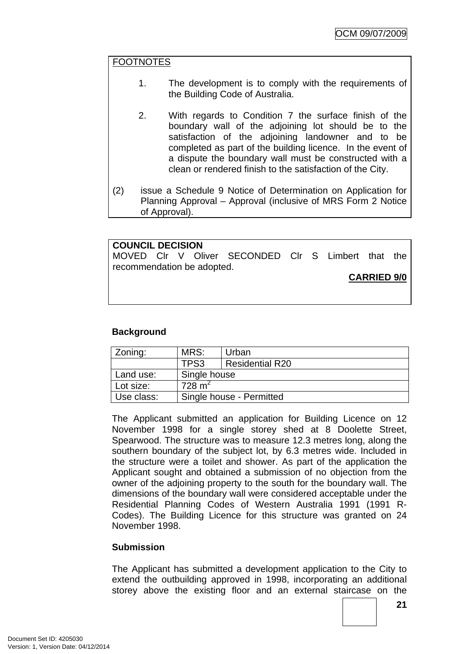#### FOOTNOTES

- 1. The development is to comply with the requirements of the Building Code of Australia.
- 2. With regards to Condition 7 the surface finish of the boundary wall of the adjoining lot should be to the satisfaction of the adjoining landowner and to be completed as part of the building licence. In the event of a dispute the boundary wall must be constructed with a clean or rendered finish to the satisfaction of the City.
- (2) issue a Schedule 9 Notice of Determination on Application for Planning Approval – Approval (inclusive of MRS Form 2 Notice of Approval).

**COUNCIL DECISION**  MOVED Clr V Oliver SECONDED Clr S Limbert that the recommendation be adopted.

**CARRIED 9/0**

#### **Background**

| Zoning:    | MRS:                           | Urban |  |  |
|------------|--------------------------------|-------|--|--|
|            | TPS3<br><b>Residential R20</b> |       |  |  |
| Land use:  | Single house                   |       |  |  |
| Lot size:  | 728 m <sup>2</sup>             |       |  |  |
| Use class: | Single house - Permitted       |       |  |  |

The Applicant submitted an application for Building Licence on 12 November 1998 for a single storey shed at 8 Doolette Street, Spearwood. The structure was to measure 12.3 metres long, along the southern boundary of the subject lot, by 6.3 metres wide. Included in the structure were a toilet and shower. As part of the application the Applicant sought and obtained a submission of no objection from the owner of the adjoining property to the south for the boundary wall. The dimensions of the boundary wall were considered acceptable under the Residential Planning Codes of Western Australia 1991 (1991 R-Codes). The Building Licence for this structure was granted on 24 November 1998.

#### **Submission**

The Applicant has submitted a development application to the City to extend the outbuilding approved in 1998, incorporating an additional storey above the existing floor and an external staircase on the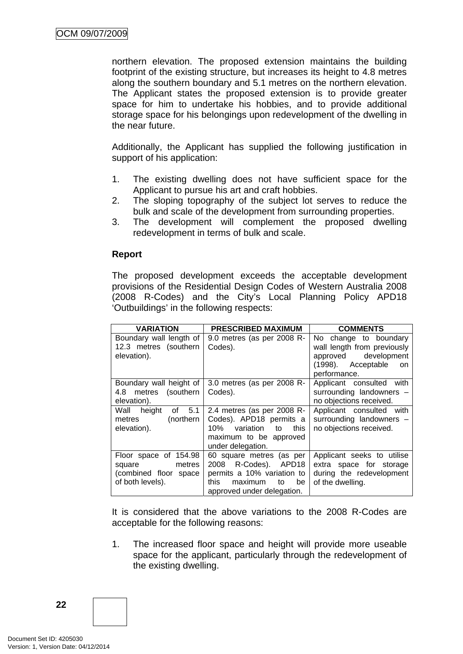northern elevation. The proposed extension maintains the building footprint of the existing structure, but increases its height to 4.8 metres along the southern boundary and 5.1 metres on the northern elevation. The Applicant states the proposed extension is to provide greater space for him to undertake his hobbies, and to provide additional storage space for his belongings upon redevelopment of the dwelling in the near future.

Additionally, the Applicant has supplied the following justification in support of his application:

- 1. The existing dwelling does not have sufficient space for the Applicant to pursue his art and craft hobbies.
- 2. The sloping topography of the subject lot serves to reduce the bulk and scale of the development from surrounding properties.
- 3. The development will complement the proposed dwelling redevelopment in terms of bulk and scale.

#### **Report**

The proposed development exceeds the acceptable development provisions of the Residential Design Codes of Western Australia 2008 (2008 R-Codes) and the City's Local Planning Policy APD18 'Outbuildings' in the following respects:

| <b>VARIATION</b>                                                                       | <b>PRESCRIBED MAXIMUM</b>                                                                                                                   | <b>COMMENTS</b>                                                                                                          |  |
|----------------------------------------------------------------------------------------|---------------------------------------------------------------------------------------------------------------------------------------------|--------------------------------------------------------------------------------------------------------------------------|--|
| Boundary wall length of<br>12.3 metres (southern<br>elevation).                        | 9.0 metres (as per 2008 R-<br>Codes).                                                                                                       | No change to boundary<br>wall length from previously<br>approved development<br>(1998). Acceptable<br>on<br>performance. |  |
| Boundary wall height of<br>metres (southern<br>4.8<br>elevation).                      | 3.0 metres (as per 2008 R-<br>Codes).                                                                                                       | Applicant consulted with<br>surrounding landowners -<br>no objections received.                                          |  |
| Wall<br>height<br>5.1<br>οf<br>(northern<br>metres<br>elevation).                      | 2.4 metres (as per 2008 R-<br>Codes). APD18 permits a<br>variation to<br>10%<br>this<br>maximum to be approved<br>under delegation.         | Applicant consulted with<br>surrounding landowners -<br>no objections received.                                          |  |
| Floor space of 154.98<br>metres<br>square<br>(combined floor space<br>of both levels). | 60 square metres (as per<br>2008 R-Codes). APD18<br>permits a 10% variation to<br>this<br>maximum<br>be<br>to<br>approved under delegation. | Applicant seeks to utilise<br>extra space for storage<br>during the redevelopment<br>of the dwelling.                    |  |

It is considered that the above variations to the 2008 R-Codes are acceptable for the following reasons:

1. The increased floor space and height will provide more useable space for the applicant, particularly through the redevelopment of the existing dwelling.

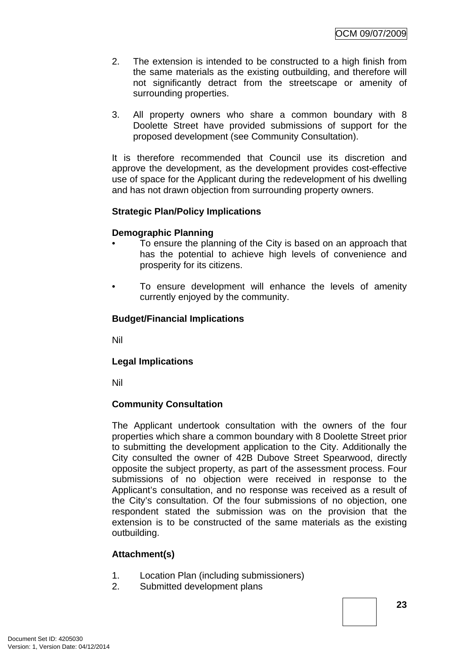- 2. The extension is intended to be constructed to a high finish from the same materials as the existing outbuilding, and therefore will not significantly detract from the streetscape or amenity of surrounding properties.
- 3. All property owners who share a common boundary with 8 Doolette Street have provided submissions of support for the proposed development (see Community Consultation).

It is therefore recommended that Council use its discretion and approve the development, as the development provides cost-effective use of space for the Applicant during the redevelopment of his dwelling and has not drawn objection from surrounding property owners.

#### **Strategic Plan/Policy Implications**

#### **Demographic Planning**

- To ensure the planning of the City is based on an approach that has the potential to achieve high levels of convenience and prosperity for its citizens.
- To ensure development will enhance the levels of amenity currently enjoyed by the community.

#### **Budget/Financial Implications**

Nil

#### **Legal Implications**

Nil

#### **Community Consultation**

The Applicant undertook consultation with the owners of the four properties which share a common boundary with 8 Doolette Street prior to submitting the development application to the City. Additionally the City consulted the owner of 42B Dubove Street Spearwood, directly opposite the subject property, as part of the assessment process. Four submissions of no objection were received in response to the Applicant's consultation, and no response was received as a result of the City's consultation. Of the four submissions of no objection, one respondent stated the submission was on the provision that the extension is to be constructed of the same materials as the existing outbuilding.

# **Attachment(s)**

- 1. Location Plan (including submissioners)
- 2. Submitted development plans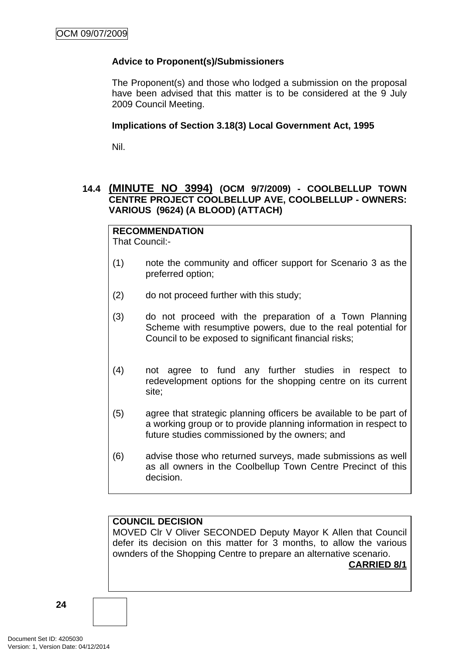# <span id="page-23-0"></span>**Advice to Proponent(s)/Submissioners**

The Proponent(s) and those who lodged a submission on the proposal have been advised that this matter is to be considered at the 9 July 2009 Council Meeting.

#### **Implications of Section 3.18(3) Local Government Act, 1995**

Nil.

# **14.4 (MINUTE NO 3994) (OCM 9/7/2009) - COOLBELLUP TOWN CENTRE PROJECT COOLBELLUP AVE, COOLBELLUP - OWNERS: VARIOUS (9624) (A BLOOD) (ATTACH)**

# **RECOMMENDATION**

That Council:-

- (1) note the community and officer support for Scenario 3 as the preferred option;
- (2) do not proceed further with this study;
- (3) do not proceed with the preparation of a Town Planning Scheme with resumptive powers, due to the real potential for Council to be exposed to significant financial risks:
- (4) not agree to fund any further studies in respect to redevelopment options for the shopping centre on its current site;
- (5) agree that strategic planning officers be available to be part of a working group or to provide planning information in respect to future studies commissioned by the owners; and
- (6) advise those who returned surveys, made submissions as well as all owners in the Coolbellup Town Centre Precinct of this decision.

# **COUNCIL DECISION**

MOVED Clr V Oliver SECONDED Deputy Mayor K Allen that Council defer its decision on this matter for 3 months, to allow the various ownders of the Shopping Centre to prepare an alternative scenario.

**CARRIED 8/1**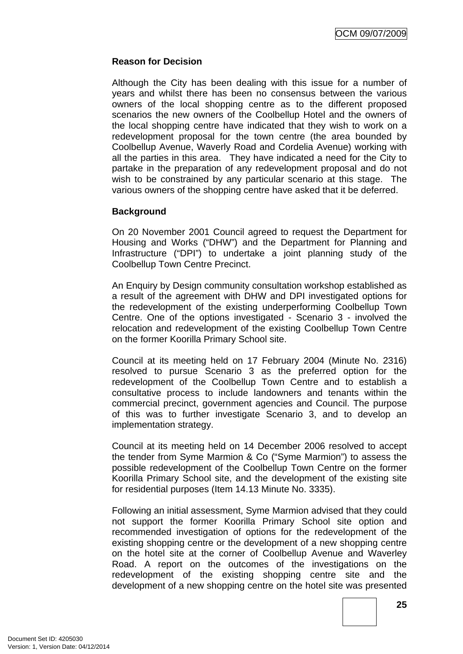### **Reason for Decision**

Although the City has been dealing with this issue for a number of years and whilst there has been no consensus between the various owners of the local shopping centre as to the different proposed scenarios the new owners of the Coolbellup Hotel and the owners of the local shopping centre have indicated that they wish to work on a redevelopment proposal for the town centre (the area bounded by Coolbellup Avenue, Waverly Road and Cordelia Avenue) working with all the parties in this area. They have indicated a need for the City to partake in the preparation of any redevelopment proposal and do not wish to be constrained by any particular scenario at this stage. The various owners of the shopping centre have asked that it be deferred.

#### **Background**

On 20 November 2001 Council agreed to request the Department for Housing and Works ("DHW") and the Department for Planning and Infrastructure ("DPI") to undertake a joint planning study of the Coolbellup Town Centre Precinct.

An Enquiry by Design community consultation workshop established as a result of the agreement with DHW and DPI investigated options for the redevelopment of the existing underperforming Coolbellup Town Centre. One of the options investigated - Scenario 3 - involved the relocation and redevelopment of the existing Coolbellup Town Centre on the former Koorilla Primary School site.

Council at its meeting held on 17 February 2004 (Minute No. 2316) resolved to pursue Scenario 3 as the preferred option for the redevelopment of the Coolbellup Town Centre and to establish a consultative process to include landowners and tenants within the commercial precinct, government agencies and Council. The purpose of this was to further investigate Scenario 3, and to develop an implementation strategy.

Council at its meeting held on 14 December 2006 resolved to accept the tender from Syme Marmion & Co ("Syme Marmion") to assess the possible redevelopment of the Coolbellup Town Centre on the former Koorilla Primary School site, and the development of the existing site for residential purposes (Item 14.13 Minute No. 3335).

Following an initial assessment, Syme Marmion advised that they could not support the former Koorilla Primary School site option and recommended investigation of options for the redevelopment of the existing shopping centre or the development of a new shopping centre on the hotel site at the corner of Coolbellup Avenue and Waverley Road. A report on the outcomes of the investigations on the redevelopment of the existing shopping centre site and the development of a new shopping centre on the hotel site was presented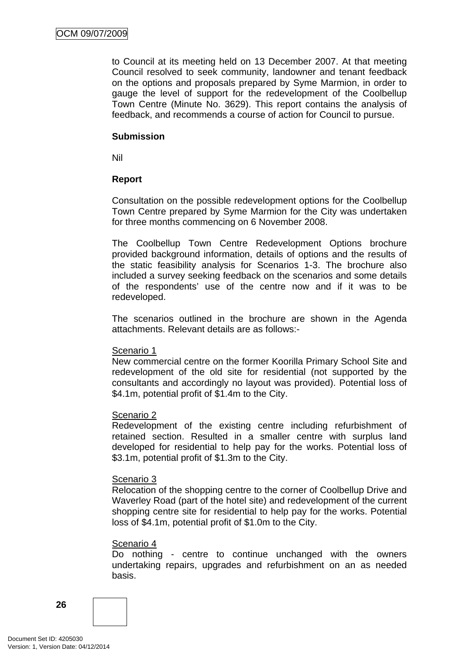to Council at its meeting held on 13 December 2007. At that meeting Council resolved to seek community, landowner and tenant feedback on the options and proposals prepared by Syme Marmion, in order to gauge the level of support for the redevelopment of the Coolbellup Town Centre (Minute No. 3629). This report contains the analysis of feedback, and recommends a course of action for Council to pursue.

#### **Submission**

Nil

#### **Report**

Consultation on the possible redevelopment options for the Coolbellup Town Centre prepared by Syme Marmion for the City was undertaken for three months commencing on 6 November 2008.

The Coolbellup Town Centre Redevelopment Options brochure provided background information, details of options and the results of the static feasibility analysis for Scenarios 1-3. The brochure also included a survey seeking feedback on the scenarios and some details of the respondents' use of the centre now and if it was to be redeveloped.

The scenarios outlined in the brochure are shown in the Agenda attachments. Relevant details are as follows:-

#### Scenario 1

New commercial centre on the former Koorilla Primary School Site and redevelopment of the old site for residential (not supported by the consultants and accordingly no layout was provided). Potential loss of \$4.1m, potential profit of \$1.4m to the City.

#### Scenario 2

Redevelopment of the existing centre including refurbishment of retained section. Resulted in a smaller centre with surplus land developed for residential to help pay for the works. Potential loss of \$3.1m, potential profit of \$1.3m to the City.

#### Scenario 3

Relocation of the shopping centre to the corner of Coolbellup Drive and Waverley Road (part of the hotel site) and redevelopment of the current shopping centre site for residential to help pay for the works. Potential loss of \$4.1m, potential profit of \$1.0m to the City.

#### Scenario 4

Do nothing - centre to continue unchanged with the owners undertaking repairs, upgrades and refurbishment on an as needed basis.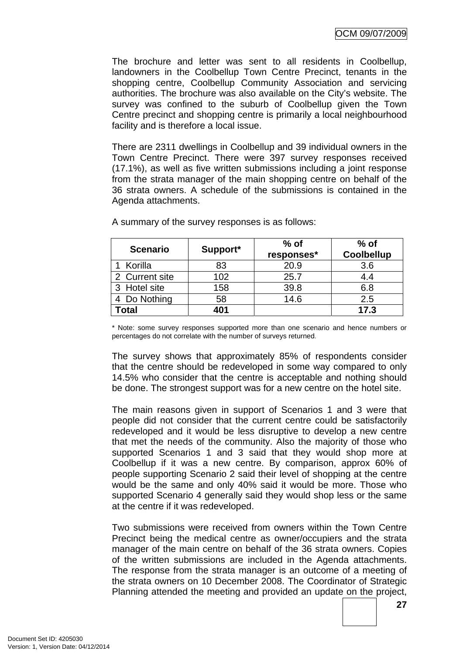The brochure and letter was sent to all residents in Coolbellup, landowners in the Coolbellup Town Centre Precinct, tenants in the shopping centre, Coolbellup Community Association and servicing authorities. The brochure was also available on the City's website. The survey was confined to the suburb of Coolbellup given the Town Centre precinct and shopping centre is primarily a local neighbourhood facility and is therefore a local issue.

There are 2311 dwellings in Coolbellup and 39 individual owners in the Town Centre Precinct. There were 397 survey responses received (17.1%), as well as five written submissions including a joint response from the strata manager of the main shopping centre on behalf of the 36 strata owners. A schedule of the submissions is contained in the Agenda attachments.

| <b>Scenario</b> | Support* | $%$ of<br>responses* | $%$ of<br><b>Coolbellup</b> |
|-----------------|----------|----------------------|-----------------------------|
| Korilla         | 83       | 20.9                 | 3.6                         |
| 2 Current site  | 102      | 25.7                 | 4.4                         |
| 3 Hotel site    | 158      | 39.8                 | 6.8                         |
| 4 Do Nothing    | 58       | 14.6                 | 2.5                         |
| Total           | 401      |                      | 17.3                        |

A summary of the survey responses is as follows:

\* Note: some survey responses supported more than one scenario and hence numbers or percentages do not correlate with the number of surveys returned.

The survey shows that approximately 85% of respondents consider that the centre should be redeveloped in some way compared to only 14.5% who consider that the centre is acceptable and nothing should be done. The strongest support was for a new centre on the hotel site.

The main reasons given in support of Scenarios 1 and 3 were that people did not consider that the current centre could be satisfactorily redeveloped and it would be less disruptive to develop a new centre that met the needs of the community. Also the majority of those who supported Scenarios 1 and 3 said that they would shop more at Coolbellup if it was a new centre. By comparison, approx 60% of people supporting Scenario 2 said their level of shopping at the centre would be the same and only 40% said it would be more. Those who supported Scenario 4 generally said they would shop less or the same at the centre if it was redeveloped.

Two submissions were received from owners within the Town Centre Precinct being the medical centre as owner/occupiers and the strata manager of the main centre on behalf of the 36 strata owners. Copies of the written submissions are included in the Agenda attachments. The response from the strata manager is an outcome of a meeting of the strata owners on 10 December 2008. The Coordinator of Strategic Planning attended the meeting and provided an update on the project,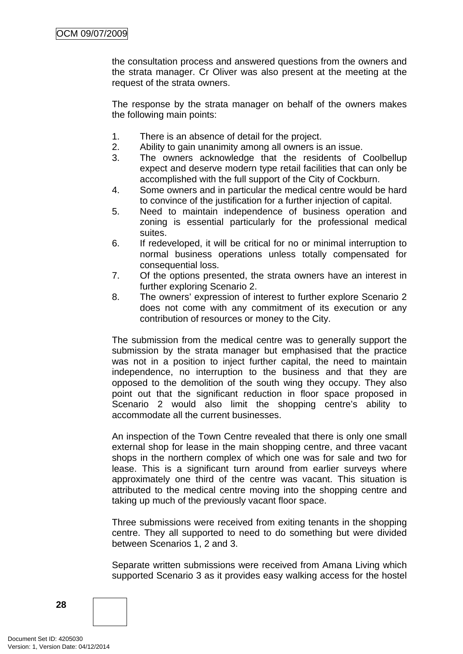the consultation process and answered questions from the owners and the strata manager. Cr Oliver was also present at the meeting at the request of the strata owners.

The response by the strata manager on behalf of the owners makes the following main points:

- 1. There is an absence of detail for the project.
- 2. Ability to gain unanimity among all owners is an issue.
- 3. The owners acknowledge that the residents of Coolbellup expect and deserve modern type retail facilities that can only be accomplished with the full support of the City of Cockburn.
- 4. Some owners and in particular the medical centre would be hard to convince of the justification for a further injection of capital.
- 5. Need to maintain independence of business operation and zoning is essential particularly for the professional medical suites.
- 6. If redeveloped, it will be critical for no or minimal interruption to normal business operations unless totally compensated for consequential loss.
- 7. Of the options presented, the strata owners have an interest in further exploring Scenario 2.
- 8. The owners' expression of interest to further explore Scenario 2 does not come with any commitment of its execution or any contribution of resources or money to the City.

The submission from the medical centre was to generally support the submission by the strata manager but emphasised that the practice was not in a position to inject further capital, the need to maintain independence, no interruption to the business and that they are opposed to the demolition of the south wing they occupy. They also point out that the significant reduction in floor space proposed in Scenario 2 would also limit the shopping centre's ability to accommodate all the current businesses.

An inspection of the Town Centre revealed that there is only one small external shop for lease in the main shopping centre, and three vacant shops in the northern complex of which one was for sale and two for lease. This is a significant turn around from earlier surveys where approximately one third of the centre was vacant. This situation is attributed to the medical centre moving into the shopping centre and taking up much of the previously vacant floor space.

Three submissions were received from exiting tenants in the shopping centre. They all supported to need to do something but were divided between Scenarios 1, 2 and 3.

Separate written submissions were received from Amana Living which supported Scenario 3 as it provides easy walking access for the hostel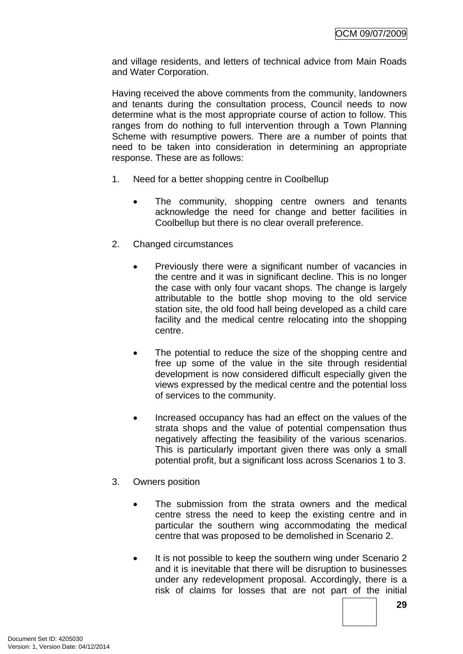and village residents, and letters of technical advice from Main Roads and Water Corporation.

Having received the above comments from the community, landowners and tenants during the consultation process, Council needs to now determine what is the most appropriate course of action to follow. This ranges from do nothing to full intervention through a Town Planning Scheme with resumptive powers. There are a number of points that need to be taken into consideration in determining an appropriate response. These are as follows:

- 1. Need for a better shopping centre in Coolbellup
	- The community, shopping centre owners and tenants acknowledge the need for change and better facilities in Coolbellup but there is no clear overall preference.
- 2. Changed circumstances
	- Previously there were a significant number of vacancies in the centre and it was in significant decline. This is no longer the case with only four vacant shops. The change is largely attributable to the bottle shop moving to the old service station site, the old food hall being developed as a child care facility and the medical centre relocating into the shopping centre.
	- The potential to reduce the size of the shopping centre and free up some of the value in the site through residential development is now considered difficult especially given the views expressed by the medical centre and the potential loss of services to the community.
	- Increased occupancy has had an effect on the values of the strata shops and the value of potential compensation thus negatively affecting the feasibility of the various scenarios. This is particularly important given there was only a small potential profit, but a significant loss across Scenarios 1 to 3.
- 3. Owners position
	- The submission from the strata owners and the medical centre stress the need to keep the existing centre and in particular the southern wing accommodating the medical centre that was proposed to be demolished in Scenario 2.
	- It is not possible to keep the southern wing under Scenario 2 and it is inevitable that there will be disruption to businesses under any redevelopment proposal. Accordingly, there is a risk of claims for losses that are not part of the initial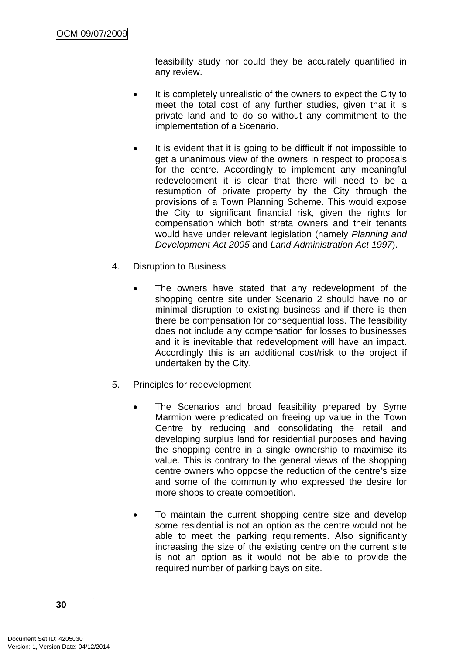feasibility study nor could they be accurately quantified in any review.

- It is completely unrealistic of the owners to expect the City to meet the total cost of any further studies, given that it is private land and to do so without any commitment to the implementation of a Scenario.
- It is evident that it is going to be difficult if not impossible to get a unanimous view of the owners in respect to proposals for the centre. Accordingly to implement any meaningful redevelopment it is clear that there will need to be a resumption of private property by the City through the provisions of a Town Planning Scheme. This would expose the City to significant financial risk, given the rights for compensation which both strata owners and their tenants would have under relevant legislation (namely *Planning and Development Act 2005* and *Land Administration Act 1997*).
- 4. Disruption to Business
	- The owners have stated that any redevelopment of the shopping centre site under Scenario 2 should have no or minimal disruption to existing business and if there is then there be compensation for consequential loss. The feasibility does not include any compensation for losses to businesses and it is inevitable that redevelopment will have an impact. Accordingly this is an additional cost/risk to the project if undertaken by the City.
- 5. Principles for redevelopment
	- The Scenarios and broad feasibility prepared by Syme Marmion were predicated on freeing up value in the Town Centre by reducing and consolidating the retail and developing surplus land for residential purposes and having the shopping centre in a single ownership to maximise its value. This is contrary to the general views of the shopping centre owners who oppose the reduction of the centre's size and some of the community who expressed the desire for more shops to create competition.
	- To maintain the current shopping centre size and develop some residential is not an option as the centre would not be able to meet the parking requirements. Also significantly increasing the size of the existing centre on the current site is not an option as it would not be able to provide the required number of parking bays on site.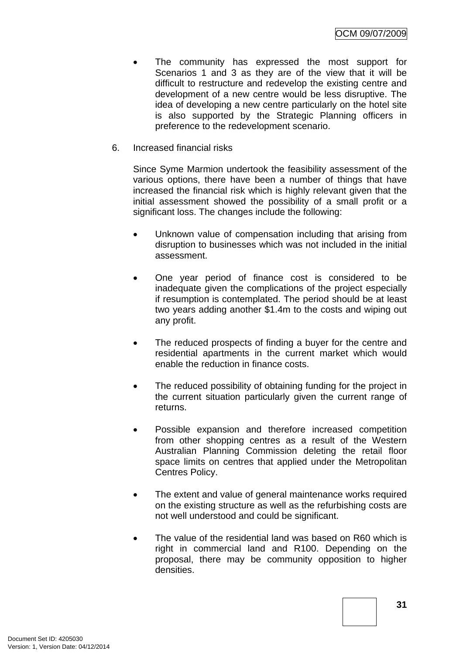- The community has expressed the most support for Scenarios 1 and 3 as they are of the view that it will be difficult to restructure and redevelop the existing centre and development of a new centre would be less disruptive. The idea of developing a new centre particularly on the hotel site is also supported by the Strategic Planning officers in preference to the redevelopment scenario.
- 6. Increased financial risks

Since Syme Marmion undertook the feasibility assessment of the various options, there have been a number of things that have increased the financial risk which is highly relevant given that the initial assessment showed the possibility of a small profit or a significant loss. The changes include the following:

- Unknown value of compensation including that arising from disruption to businesses which was not included in the initial assessment.
- One year period of finance cost is considered to be inadequate given the complications of the project especially if resumption is contemplated. The period should be at least two years adding another \$1.4m to the costs and wiping out any profit.
- The reduced prospects of finding a buyer for the centre and residential apartments in the current market which would enable the reduction in finance costs.
- The reduced possibility of obtaining funding for the project in the current situation particularly given the current range of returns.
- Possible expansion and therefore increased competition from other shopping centres as a result of the Western Australian Planning Commission deleting the retail floor space limits on centres that applied under the Metropolitan Centres Policy.
- The extent and value of general maintenance works required on the existing structure as well as the refurbishing costs are not well understood and could be significant.
- The value of the residential land was based on R60 which is right in commercial land and R100. Depending on the proposal, there may be community opposition to higher densities.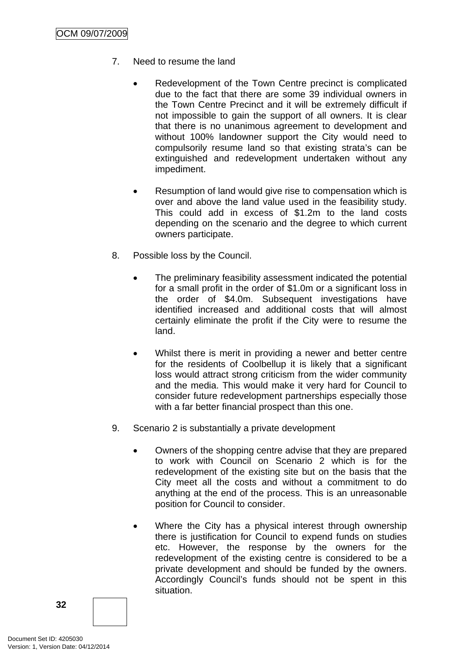- 7. Need to resume the land
	- Redevelopment of the Town Centre precinct is complicated due to the fact that there are some 39 individual owners in the Town Centre Precinct and it will be extremely difficult if not impossible to gain the support of all owners. It is clear that there is no unanimous agreement to development and without 100% landowner support the City would need to compulsorily resume land so that existing strata's can be extinguished and redevelopment undertaken without any impediment.
	- Resumption of land would give rise to compensation which is over and above the land value used in the feasibility study. This could add in excess of \$1.2m to the land costs depending on the scenario and the degree to which current owners participate.
- 8. Possible loss by the Council.
	- The preliminary feasibility assessment indicated the potential for a small profit in the order of \$1.0m or a significant loss in the order of \$4.0m. Subsequent investigations have identified increased and additional costs that will almost certainly eliminate the profit if the City were to resume the land.
	- Whilst there is merit in providing a newer and better centre for the residents of Coolbellup it is likely that a significant loss would attract strong criticism from the wider community and the media. This would make it very hard for Council to consider future redevelopment partnerships especially those with a far better financial prospect than this one.
- 9. Scenario 2 is substantially a private development
	- Owners of the shopping centre advise that they are prepared to work with Council on Scenario 2 which is for the redevelopment of the existing site but on the basis that the City meet all the costs and without a commitment to do anything at the end of the process. This is an unreasonable position for Council to consider.
	- Where the City has a physical interest through ownership there is justification for Council to expend funds on studies etc. However, the response by the owners for the redevelopment of the existing centre is considered to be a private development and should be funded by the owners. Accordingly Council's funds should not be spent in this situation.

**32**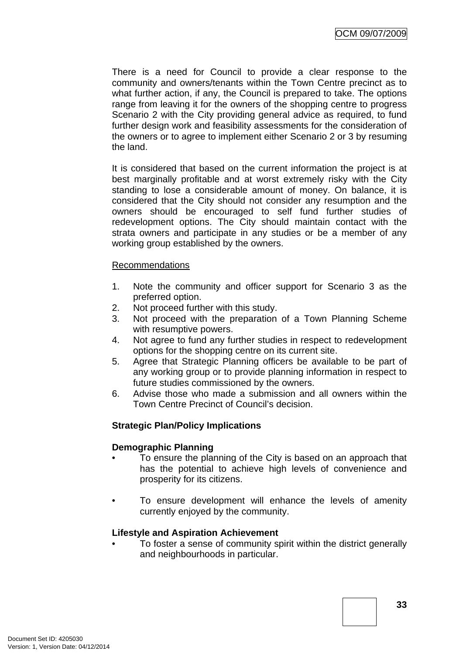There is a need for Council to provide a clear response to the community and owners/tenants within the Town Centre precinct as to what further action, if any, the Council is prepared to take. The options range from leaving it for the owners of the shopping centre to progress Scenario 2 with the City providing general advice as required, to fund further design work and feasibility assessments for the consideration of the owners or to agree to implement either Scenario 2 or 3 by resuming the land.

It is considered that based on the current information the project is at best marginally profitable and at worst extremely risky with the City standing to lose a considerable amount of money. On balance, it is considered that the City should not consider any resumption and the owners should be encouraged to self fund further studies of redevelopment options. The City should maintain contact with the strata owners and participate in any studies or be a member of any working group established by the owners.

#### Recommendations

- 1. Note the community and officer support for Scenario 3 as the preferred option.
- 2. Not proceed further with this study.
- 3. Not proceed with the preparation of a Town Planning Scheme with resumptive powers.
- 4. Not agree to fund any further studies in respect to redevelopment options for the shopping centre on its current site.
- 5. Agree that Strategic Planning officers be available to be part of any working group or to provide planning information in respect to future studies commissioned by the owners.
- 6. Advise those who made a submission and all owners within the Town Centre Precinct of Council's decision.

# **Strategic Plan/Policy Implications**

#### **Demographic Planning**

- To ensure the planning of the City is based on an approach that has the potential to achieve high levels of convenience and prosperity for its citizens.
- To ensure development will enhance the levels of amenity currently enjoyed by the community.

#### **Lifestyle and Aspiration Achievement**

• To foster a sense of community spirit within the district generally and neighbourhoods in particular.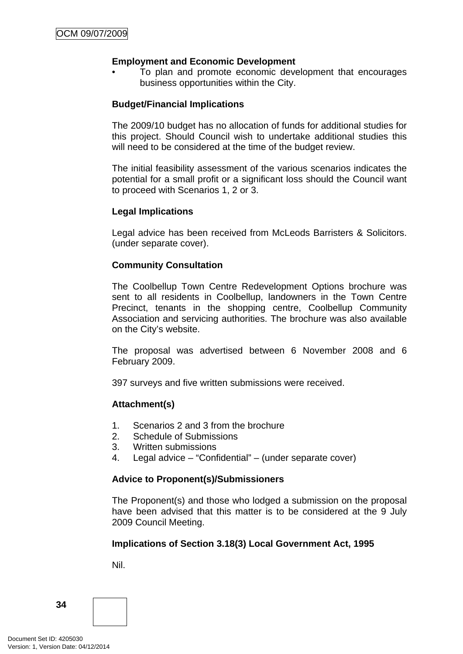# **Employment and Economic Development**

• To plan and promote economic development that encourages business opportunities within the City.

### **Budget/Financial Implications**

The 2009/10 budget has no allocation of funds for additional studies for this project. Should Council wish to undertake additional studies this will need to be considered at the time of the budget review.

The initial feasibility assessment of the various scenarios indicates the potential for a small profit or a significant loss should the Council want to proceed with Scenarios 1, 2 or 3.

#### **Legal Implications**

Legal advice has been received from McLeods Barristers & Solicitors. (under separate cover).

# **Community Consultation**

The Coolbellup Town Centre Redevelopment Options brochure was sent to all residents in Coolbellup, landowners in the Town Centre Precinct, tenants in the shopping centre, Coolbellup Community Association and servicing authorities. The brochure was also available on the City's website.

The proposal was advertised between 6 November 2008 and 6 February 2009.

397 surveys and five written submissions were received.

#### **Attachment(s)**

- 1. Scenarios 2 and 3 from the brochure
- 2. Schedule of Submissions
- 3. Written submissions
- 4. Legal advice "Confidential" (under separate cover)

#### **Advice to Proponent(s)/Submissioners**

The Proponent(s) and those who lodged a submission on the proposal have been advised that this matter is to be considered at the 9 July 2009 Council Meeting.

#### **Implications of Section 3.18(3) Local Government Act, 1995**

Nil.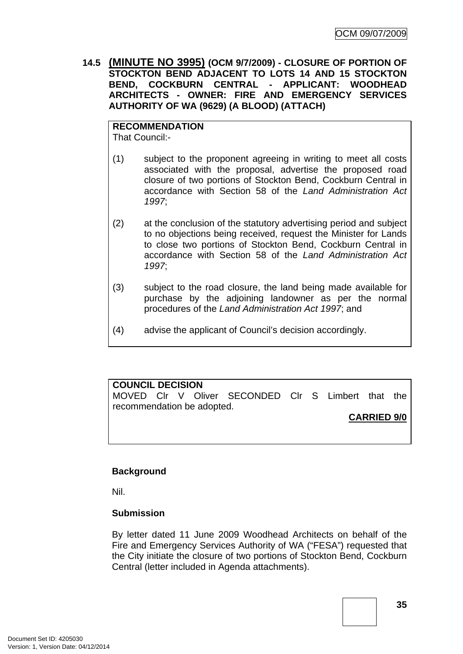<span id="page-34-0"></span>**14.5 (MINUTE NO 3995) (OCM 9/7/2009) - CLOSURE OF PORTION OF STOCKTON BEND ADJACENT TO LOTS 14 AND 15 STOCKTON BEND, COCKBURN CENTRAL - APPLICANT: WOODHEAD ARCHITECTS - OWNER: FIRE AND EMERGENCY SERVICES AUTHORITY OF WA (9629) (A BLOOD) (ATTACH)** 

**RECOMMENDATION** That Council:-

- (1) subject to the proponent agreeing in writing to meet all costs associated with the proposal, advertise the proposed road closure of two portions of Stockton Bend, Cockburn Central in accordance with Section 58 of the *Land Administration Act 1997*;
- (2) at the conclusion of the statutory advertising period and subject to no objections being received, request the Minister for Lands to close two portions of Stockton Bend, Cockburn Central in accordance with Section 58 of the *Land Administration Act 1997*;
- (3) subject to the road closure, the land being made available for purchase by the adjoining landowner as per the normal procedures of the *Land Administration Act 1997*; and
- (4) advise the applicant of Council's decision accordingly.

**COUNCIL DECISION**  MOVED Clr V Oliver SECONDED Clr S Limbert that the recommendation be adopted. **CARRIED 9/0**

#### **Background**

Nil.

#### **Submission**

By letter dated 11 June 2009 Woodhead Architects on behalf of the Fire and Emergency Services Authority of WA ("FESA") requested that the City initiate the closure of two portions of Stockton Bend, Cockburn Central (letter included in Agenda attachments).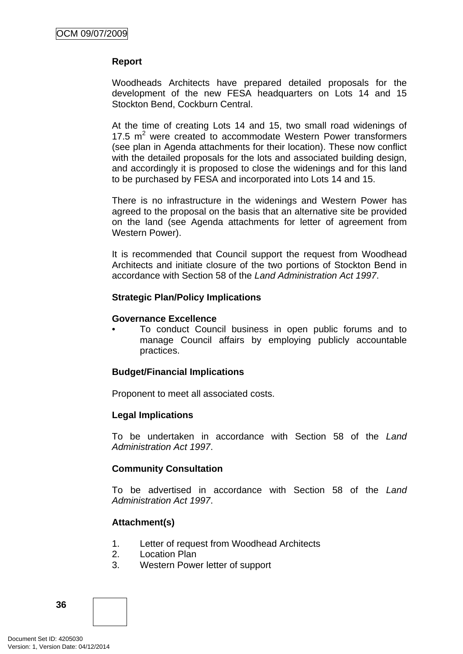#### **Report**

Woodheads Architects have prepared detailed proposals for the development of the new FESA headquarters on Lots 14 and 15 Stockton Bend, Cockburn Central.

At the time of creating Lots 14 and 15, two small road widenings of 17.5  $m<sup>2</sup>$  were created to accommodate Western Power transformers (see plan in Agenda attachments for their location). These now conflict with the detailed proposals for the lots and associated building design, and accordingly it is proposed to close the widenings and for this land to be purchased by FESA and incorporated into Lots 14 and 15.

There is no infrastructure in the widenings and Western Power has agreed to the proposal on the basis that an alternative site be provided on the land (see Agenda attachments for letter of agreement from Western Power).

It is recommended that Council support the request from Woodhead Architects and initiate closure of the two portions of Stockton Bend in accordance with Section 58 of the *Land Administration Act 1997*.

#### **Strategic Plan/Policy Implications**

#### **Governance Excellence**

• To conduct Council business in open public forums and to manage Council affairs by employing publicly accountable practices.

#### **Budget/Financial Implications**

Proponent to meet all associated costs.

#### **Legal Implications**

To be undertaken in accordance with Section 58 of the *Land Administration Act 1997*.

#### **Community Consultation**

To be advertised in accordance with Section 58 of the *Land Administration Act 1997*.

#### **Attachment(s)**

- 1. Letter of request from Woodhead Architects
- 2. Location Plan
- 3. Western Power letter of support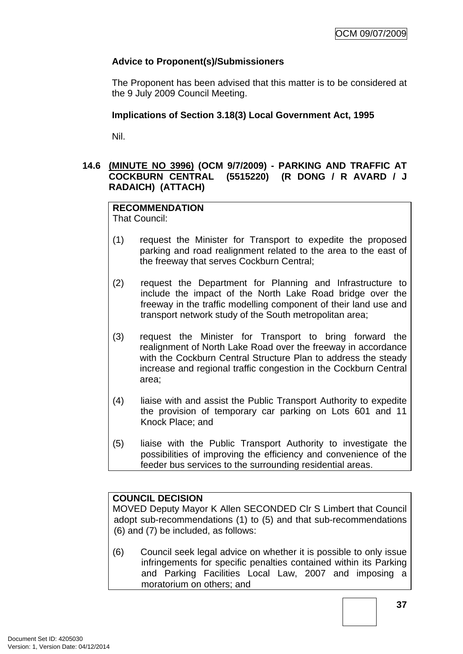## **Advice to Proponent(s)/Submissioners**

The Proponent has been advised that this matter is to be considered at the 9 July 2009 Council Meeting.

#### **Implications of Section 3.18(3) Local Government Act, 1995**

Nil.

## **14.6 (MINUTE NO 3996) (OCM 9/7/2009) - PARKING AND TRAFFIC AT COCKBURN CENTRAL (5515220) (R DONG / R AVARD / J RADAICH) (ATTACH)**

# **RECOMMENDATION**

That Council:

- (1) request the Minister for Transport to expedite the proposed parking and road realignment related to the area to the east of the freeway that serves Cockburn Central;
- (2) request the Department for Planning and Infrastructure to include the impact of the North Lake Road bridge over the freeway in the traffic modelling component of their land use and transport network study of the South metropolitan area;
- (3) request the Minister for Transport to bring forward the realignment of North Lake Road over the freeway in accordance with the Cockburn Central Structure Plan to address the steady increase and regional traffic congestion in the Cockburn Central area;
- (4) liaise with and assist the Public Transport Authority to expedite the provision of temporary car parking on Lots 601 and 11 Knock Place; and
- (5) liaise with the Public Transport Authority to investigate the possibilities of improving the efficiency and convenience of the feeder bus services to the surrounding residential areas.

## **COUNCIL DECISION**

MOVED Deputy Mayor K Allen SECONDED Clr S Limbert that Council adopt sub-recommendations (1) to (5) and that sub-recommendations (6) and (7) be included, as follows:

(6) Council seek legal advice on whether it is possible to only issue infringements for specific penalties contained within its Parking and Parking Facilities Local Law, 2007 and imposing a moratorium on others; and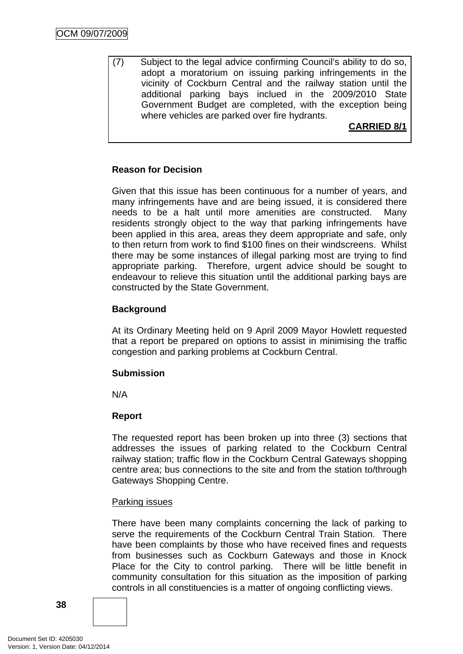(7) Subject to the legal advice confirming Council's ability to do so, adopt a moratorium on issuing parking infringements in the vicinity of Cockburn Central and the railway station until the additional parking bays inclued in the 2009/2010 State Government Budget are completed, with the exception being where vehicles are parked over fire hydrants.

## **CARRIED 8/1**

## **Reason for Decision**

Given that this issue has been continuous for a number of years, and many infringements have and are being issued, it is considered there needs to be a halt until more amenities are constructed. Many residents strongly object to the way that parking infringements have been applied in this area, areas they deem appropriate and safe, only to then return from work to find \$100 fines on their windscreens. Whilst there may be some instances of illegal parking most are trying to find appropriate parking. Therefore, urgent advice should be sought to endeavour to relieve this situation until the additional parking bays are constructed by the State Government.

## **Background**

At its Ordinary Meeting held on 9 April 2009 Mayor Howlett requested that a report be prepared on options to assist in minimising the traffic congestion and parking problems at Cockburn Central.

#### **Submission**

N/A

## **Report**

The requested report has been broken up into three (3) sections that addresses the issues of parking related to the Cockburn Central railway station; traffic flow in the Cockburn Central Gateways shopping centre area; bus connections to the site and from the station to/through Gateways Shopping Centre.

#### Parking issues

There have been many complaints concerning the lack of parking to serve the requirements of the Cockburn Central Train Station. There have been complaints by those who have received fines and requests from businesses such as Cockburn Gateways and those in Knock Place for the City to control parking. There will be little benefit in community consultation for this situation as the imposition of parking controls in all constituencies is a matter of ongoing conflicting views.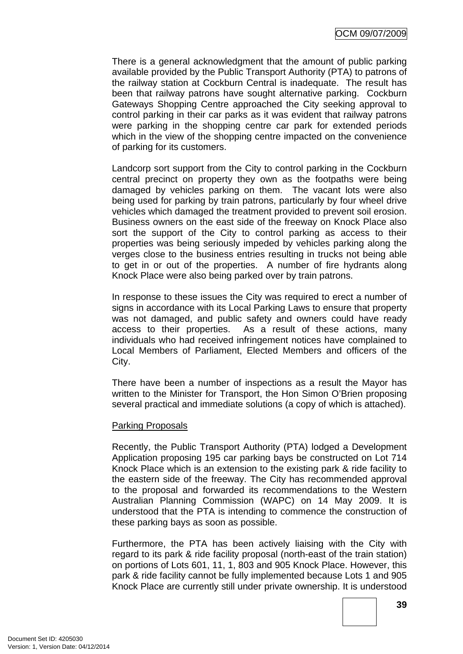There is a general acknowledgment that the amount of public parking available provided by the Public Transport Authority (PTA) to patrons of the railway station at Cockburn Central is inadequate. The result has been that railway patrons have sought alternative parking. Cockburn Gateways Shopping Centre approached the City seeking approval to control parking in their car parks as it was evident that railway patrons were parking in the shopping centre car park for extended periods which in the view of the shopping centre impacted on the convenience of parking for its customers.

Landcorp sort support from the City to control parking in the Cockburn central precinct on property they own as the footpaths were being damaged by vehicles parking on them. The vacant lots were also being used for parking by train patrons, particularly by four wheel drive vehicles which damaged the treatment provided to prevent soil erosion. Business owners on the east side of the freeway on Knock Place also sort the support of the City to control parking as access to their properties was being seriously impeded by vehicles parking along the verges close to the business entries resulting in trucks not being able to get in or out of the properties. A number of fire hydrants along Knock Place were also being parked over by train patrons.

In response to these issues the City was required to erect a number of signs in accordance with its Local Parking Laws to ensure that property was not damaged, and public safety and owners could have ready access to their properties. As a result of these actions, many individuals who had received infringement notices have complained to Local Members of Parliament, Elected Members and officers of the City.

There have been a number of inspections as a result the Mayor has written to the Minister for Transport, the Hon Simon O'Brien proposing several practical and immediate solutions (a copy of which is attached).

#### Parking Proposals

Recently, the Public Transport Authority (PTA) lodged a Development Application proposing 195 car parking bays be constructed on Lot 714 Knock Place which is an extension to the existing park & ride facility to the eastern side of the freeway. The City has recommended approval to the proposal and forwarded its recommendations to the Western Australian Planning Commission (WAPC) on 14 May 2009. It is understood that the PTA is intending to commence the construction of these parking bays as soon as possible.

Furthermore, the PTA has been actively liaising with the City with regard to its park & ride facility proposal (north-east of the train station) on portions of Lots 601, 11, 1, 803 and 905 Knock Place. However, this park & ride facility cannot be fully implemented because Lots 1 and 905 Knock Place are currently still under private ownership. It is understood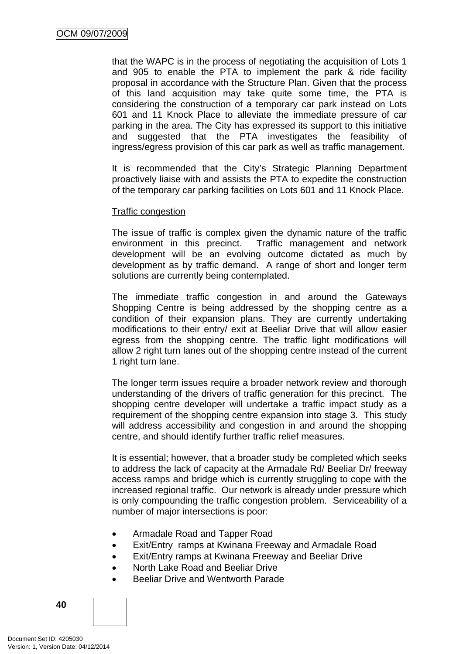that the WAPC is in the process of negotiating the acquisition of Lots 1 and 905 to enable the PTA to implement the park & ride facility proposal in accordance with the Structure Plan. Given that the process of this land acquisition may take quite some time, the PTA is considering the construction of a temporary car park instead on Lots 601 and 11 Knock Place to alleviate the immediate pressure of car parking in the area. The City has expressed its support to this initiative and suggested that the PTA investigates the feasibility of ingress/egress provision of this car park as well as traffic management.

It is recommended that the City's Strategic Planning Department proactively liaise with and assists the PTA to expedite the construction of the temporary car parking facilities on Lots 601 and 11 Knock Place.

#### Traffic congestion

The issue of traffic is complex given the dynamic nature of the traffic environment in this precinct. Traffic management and network development will be an evolving outcome dictated as much by development as by traffic demand. A range of short and longer term solutions are currently being contemplated.

The immediate traffic congestion in and around the Gateways Shopping Centre is being addressed by the shopping centre as a condition of their expansion plans. They are currently undertaking modifications to their entry/ exit at Beeliar Drive that will allow easier egress from the shopping centre. The traffic light modifications will allow 2 right turn lanes out of the shopping centre instead of the current 1 right turn lane.

The longer term issues require a broader network review and thorough understanding of the drivers of traffic generation for this precinct. The shopping centre developer will undertake a traffic impact study as a requirement of the shopping centre expansion into stage 3. This study will address accessibility and congestion in and around the shopping centre, and should identify further traffic relief measures.

It is essential; however, that a broader study be completed which seeks to address the lack of capacity at the Armadale Rd/ Beeliar Dr/ freeway access ramps and bridge which is currently struggling to cope with the increased regional traffic. Our network is already under pressure which is only compounding the traffic congestion problem. Serviceability of a number of major intersections is poor:

- Armadale Road and Tapper Road
- Exit/Entry ramps at Kwinana Freeway and Armadale Road
- Exit/Entry ramps at Kwinana Freeway and Beeliar Drive
- North Lake Road and Beeliar Drive
- Beeliar Drive and Wentworth Parade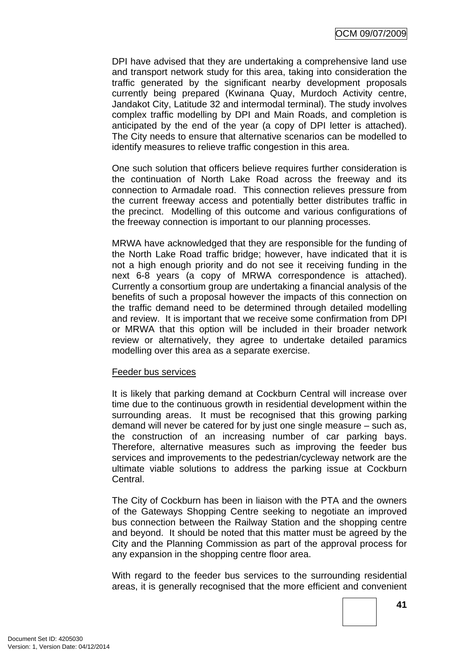DPI have advised that they are undertaking a comprehensive land use and transport network study for this area, taking into consideration the traffic generated by the significant nearby development proposals currently being prepared (Kwinana Quay, Murdoch Activity centre, Jandakot City, Latitude 32 and intermodal terminal). The study involves complex traffic modelling by DPI and Main Roads, and completion is anticipated by the end of the year (a copy of DPI letter is attached). The City needs to ensure that alternative scenarios can be modelled to identify measures to relieve traffic congestion in this area.

One such solution that officers believe requires further consideration is the continuation of North Lake Road across the freeway and its connection to Armadale road. This connection relieves pressure from the current freeway access and potentially better distributes traffic in the precinct. Modelling of this outcome and various configurations of the freeway connection is important to our planning processes.

MRWA have acknowledged that they are responsible for the funding of the North Lake Road traffic bridge; however, have indicated that it is not a high enough priority and do not see it receiving funding in the next 6-8 years (a copy of MRWA correspondence is attached). Currently a consortium group are undertaking a financial analysis of the benefits of such a proposal however the impacts of this connection on the traffic demand need to be determined through detailed modelling and review. It is important that we receive some confirmation from DPI or MRWA that this option will be included in their broader network review or alternatively, they agree to undertake detailed paramics modelling over this area as a separate exercise.

#### Feeder bus services

It is likely that parking demand at Cockburn Central will increase over time due to the continuous growth in residential development within the surrounding areas. It must be recognised that this growing parking demand will never be catered for by just one single measure – such as, the construction of an increasing number of car parking bays. Therefore, alternative measures such as improving the feeder bus services and improvements to the pedestrian/cycleway network are the ultimate viable solutions to address the parking issue at Cockburn Central.

The City of Cockburn has been in liaison with the PTA and the owners of the Gateways Shopping Centre seeking to negotiate an improved bus connection between the Railway Station and the shopping centre and beyond. It should be noted that this matter must be agreed by the City and the Planning Commission as part of the approval process for any expansion in the shopping centre floor area.

With regard to the feeder bus services to the surrounding residential areas, it is generally recognised that the more efficient and convenient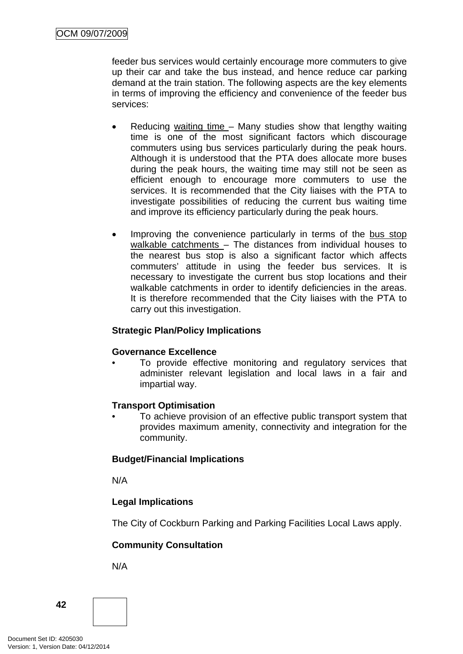feeder bus services would certainly encourage more commuters to give up their car and take the bus instead, and hence reduce car parking demand at the train station. The following aspects are the key elements in terms of improving the efficiency and convenience of the feeder bus services:

- Reducing waiting time Many studies show that lengthy waiting time is one of the most significant factors which discourage commuters using bus services particularly during the peak hours. Although it is understood that the PTA does allocate more buses during the peak hours, the waiting time may still not be seen as efficient enough to encourage more commuters to use the services. It is recommended that the City liaises with the PTA to investigate possibilities of reducing the current bus waiting time and improve its efficiency particularly during the peak hours.
- Improving the convenience particularly in terms of the bus stop walkable catchments – The distances from individual houses to the nearest bus stop is also a significant factor which affects commuters' attitude in using the feeder bus services. It is necessary to investigate the current bus stop locations and their walkable catchments in order to identify deficiencies in the areas. It is therefore recommended that the City liaises with the PTA to carry out this investigation.

## **Strategic Plan/Policy Implications**

#### **Governance Excellence**

To provide effective monitoring and regulatory services that administer relevant legislation and local laws in a fair and impartial way.

#### **Transport Optimisation**

• To achieve provision of an effective public transport system that provides maximum amenity, connectivity and integration for the community.

#### **Budget/Financial Implications**

N/A

## **Legal Implications**

The City of Cockburn Parking and Parking Facilities Local Laws apply.

## **Community Consultation**

N/A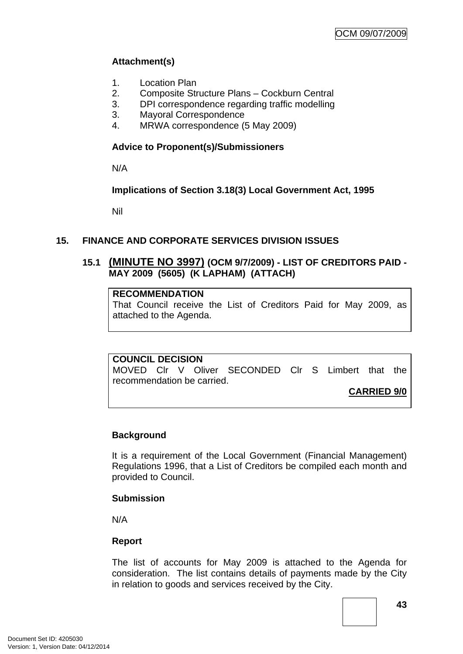## **Attachment(s)**

- 1. Location Plan
- 2. Composite Structure Plans Cockburn Central
- 3. DPI correspondence regarding traffic modelling
- 3. Mayoral Correspondence
- 4. MRWA correspondence (5 May 2009)

## **Advice to Proponent(s)/Submissioners**

N/A

## **Implications of Section 3.18(3) Local Government Act, 1995**

Nil

## **15. FINANCE AND CORPORATE SERVICES DIVISION ISSUES**

## **15.1 (MINUTE NO 3997) (OCM 9/7/2009) - LIST OF CREDITORS PAID - MAY 2009 (5605) (K LAPHAM) (ATTACH)**

## **RECOMMENDATION**

That Council receive the List of Creditors Paid for May 2009, as attached to the Agenda.

#### **COUNCIL DECISION**

MOVED Clr V Oliver SECONDED Clr S Limbert that the recommendation be carried.

**CARRIED 9/0**

## **Background**

It is a requirement of the Local Government (Financial Management) Regulations 1996, that a List of Creditors be compiled each month and provided to Council.

## **Submission**

N/A

## **Report**

The list of accounts for May 2009 is attached to the Agenda for consideration. The list contains details of payments made by the City in relation to goods and services received by the City.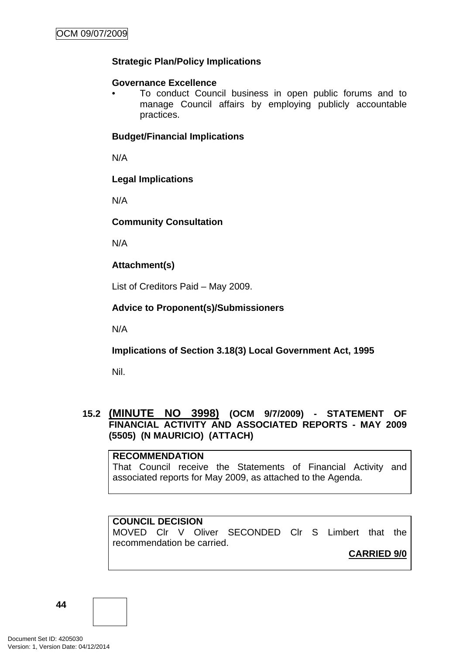## **Strategic Plan/Policy Implications**

## **Governance Excellence**

• To conduct Council business in open public forums and to manage Council affairs by employing publicly accountable practices.

## **Budget/Financial Implications**

N/A

## **Legal Implications**

N/A

## **Community Consultation**

N/A

## **Attachment(s)**

List of Creditors Paid – May 2009.

## **Advice to Proponent(s)/Submissioners**

N/A

**Implications of Section 3.18(3) Local Government Act, 1995**

Nil.

## **15.2 (MINUTE NO 3998) (OCM 9/7/2009) - STATEMENT OF FINANCIAL ACTIVITY AND ASSOCIATED REPORTS - MAY 2009 (5505) (N MAURICIO) (ATTACH)**

**RECOMMENDATION** That Council receive the Statements of Financial Activity and associated reports for May 2009, as attached to the Agenda.

## **COUNCIL DECISION**

MOVED Clr V Oliver SECONDED Clr S Limbert that the recommendation be carried.

**CARRIED 9/0**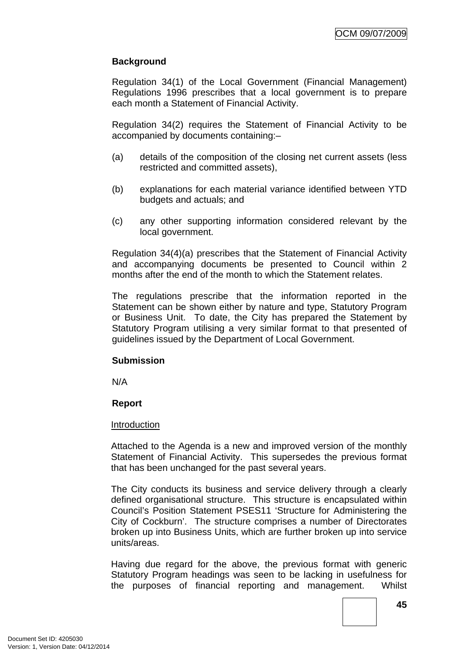## **Background**

Regulation 34(1) of the Local Government (Financial Management) Regulations 1996 prescribes that a local government is to prepare each month a Statement of Financial Activity.

Regulation 34(2) requires the Statement of Financial Activity to be accompanied by documents containing:–

- (a) details of the composition of the closing net current assets (less restricted and committed assets),
- (b) explanations for each material variance identified between YTD budgets and actuals; and
- (c) any other supporting information considered relevant by the local government.

Regulation 34(4)(a) prescribes that the Statement of Financial Activity and accompanying documents be presented to Council within 2 months after the end of the month to which the Statement relates.

The regulations prescribe that the information reported in the Statement can be shown either by nature and type, Statutory Program or Business Unit. To date, the City has prepared the Statement by Statutory Program utilising a very similar format to that presented of guidelines issued by the Department of Local Government.

#### **Submission**

N/A

#### **Report**

#### Introduction

Attached to the Agenda is a new and improved version of the monthly Statement of Financial Activity. This supersedes the previous format that has been unchanged for the past several years.

The City conducts its business and service delivery through a clearly defined organisational structure. This structure is encapsulated within Council's Position Statement PSES11 'Structure for Administering the City of Cockburn'. The structure comprises a number of Directorates broken up into Business Units, which are further broken up into service units/areas.

Having due regard for the above, the previous format with generic Statutory Program headings was seen to be lacking in usefulness for the purposes of financial reporting and management. Whilst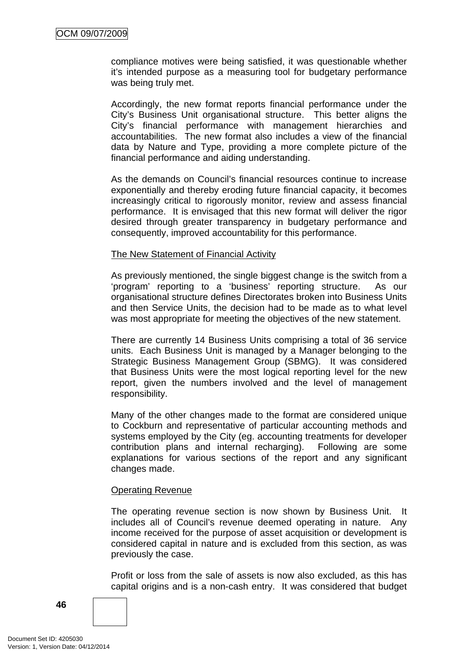compliance motives were being satisfied, it was questionable whether it's intended purpose as a measuring tool for budgetary performance was being truly met.

Accordingly, the new format reports financial performance under the City's Business Unit organisational structure. This better aligns the City's financial performance with management hierarchies and accountabilities. The new format also includes a view of the financial data by Nature and Type, providing a more complete picture of the financial performance and aiding understanding.

As the demands on Council's financial resources continue to increase exponentially and thereby eroding future financial capacity, it becomes increasingly critical to rigorously monitor, review and assess financial performance. It is envisaged that this new format will deliver the rigor desired through greater transparency in budgetary performance and consequently, improved accountability for this performance.

#### The New Statement of Financial Activity

As previously mentioned, the single biggest change is the switch from a 'program' reporting to a 'business' reporting structure. As our organisational structure defines Directorates broken into Business Units and then Service Units, the decision had to be made as to what level was most appropriate for meeting the objectives of the new statement.

There are currently 14 Business Units comprising a total of 36 service units. Each Business Unit is managed by a Manager belonging to the Strategic Business Management Group (SBMG). It was considered that Business Units were the most logical reporting level for the new report, given the numbers involved and the level of management responsibility.

Many of the other changes made to the format are considered unique to Cockburn and representative of particular accounting methods and systems employed by the City (eg. accounting treatments for developer contribution plans and internal recharging). Following are some explanations for various sections of the report and any significant changes made.

#### Operating Revenue

The operating revenue section is now shown by Business Unit. It includes all of Council's revenue deemed operating in nature. Any income received for the purpose of asset acquisition or development is considered capital in nature and is excluded from this section, as was previously the case.

Profit or loss from the sale of assets is now also excluded, as this has capital origins and is a non-cash entry. It was considered that budget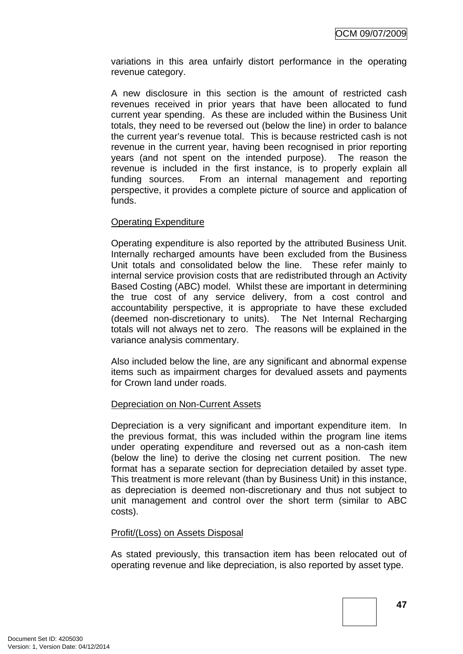variations in this area unfairly distort performance in the operating revenue category.

A new disclosure in this section is the amount of restricted cash revenues received in prior years that have been allocated to fund current year spending. As these are included within the Business Unit totals, they need to be reversed out (below the line) in order to balance the current year's revenue total. This is because restricted cash is not revenue in the current year, having been recognised in prior reporting years (and not spent on the intended purpose). The reason the revenue is included in the first instance, is to properly explain all funding sources. From an internal management and reporting perspective, it provides a complete picture of source and application of funds.

#### Operating Expenditure

Operating expenditure is also reported by the attributed Business Unit. Internally recharged amounts have been excluded from the Business Unit totals and consolidated below the line. These refer mainly to internal service provision costs that are redistributed through an Activity Based Costing (ABC) model. Whilst these are important in determining the true cost of any service delivery, from a cost control and accountability perspective, it is appropriate to have these excluded (deemed non-discretionary to units). The Net Internal Recharging totals will not always net to zero. The reasons will be explained in the variance analysis commentary.

Also included below the line, are any significant and abnormal expense items such as impairment charges for devalued assets and payments for Crown land under roads.

#### Depreciation on Non-Current Assets

Depreciation is a very significant and important expenditure item. In the previous format, this was included within the program line items under operating expenditure and reversed out as a non-cash item (below the line) to derive the closing net current position. The new format has a separate section for depreciation detailed by asset type. This treatment is more relevant (than by Business Unit) in this instance, as depreciation is deemed non-discretionary and thus not subject to unit management and control over the short term (similar to ABC costs).

#### Profit/(Loss) on Assets Disposal

As stated previously, this transaction item has been relocated out of operating revenue and like depreciation, is also reported by asset type.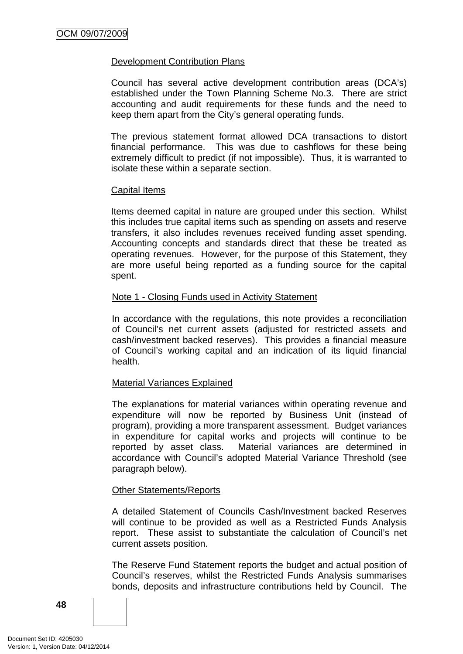#### Development Contribution Plans

Council has several active development contribution areas (DCA's) established under the Town Planning Scheme No.3. There are strict accounting and audit requirements for these funds and the need to keep them apart from the City's general operating funds.

The previous statement format allowed DCA transactions to distort financial performance. This was due to cashflows for these being extremely difficult to predict (if not impossible). Thus, it is warranted to isolate these within a separate section.

#### **Capital Items**

Items deemed capital in nature are grouped under this section. Whilst this includes true capital items such as spending on assets and reserve transfers, it also includes revenues received funding asset spending. Accounting concepts and standards direct that these be treated as operating revenues. However, for the purpose of this Statement, they are more useful being reported as a funding source for the capital spent.

#### Note 1 - Closing Funds used in Activity Statement

In accordance with the regulations, this note provides a reconciliation of Council's net current assets (adjusted for restricted assets and cash/investment backed reserves). This provides a financial measure of Council's working capital and an indication of its liquid financial health.

#### Material Variances Explained

The explanations for material variances within operating revenue and expenditure will now be reported by Business Unit (instead of program), providing a more transparent assessment. Budget variances in expenditure for capital works and projects will continue to be reported by asset class. Material variances are determined in accordance with Council's adopted Material Variance Threshold (see paragraph below).

#### Other Statements/Reports

A detailed Statement of Councils Cash/Investment backed Reserves will continue to be provided as well as a Restricted Funds Analysis report. These assist to substantiate the calculation of Council's net current assets position.

The Reserve Fund Statement reports the budget and actual position of Council's reserves, whilst the Restricted Funds Analysis summarises bonds, deposits and infrastructure contributions held by Council. The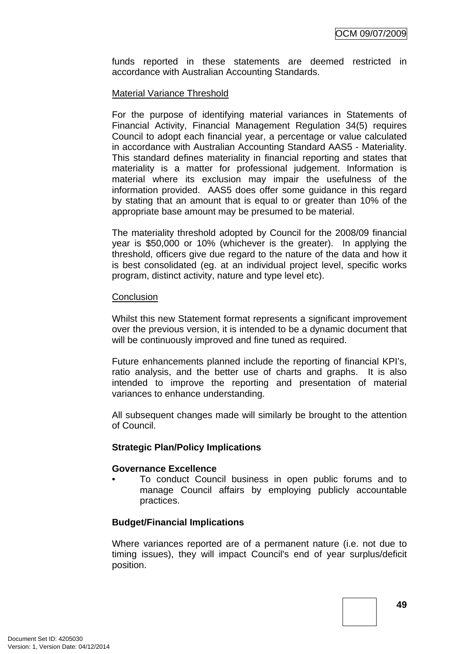funds reported in these statements are deemed restricted in accordance with Australian Accounting Standards.

#### Material Variance Threshold

For the purpose of identifying material variances in Statements of Financial Activity, Financial Management Regulation 34(5) requires Council to adopt each financial year, a percentage or value calculated in accordance with Australian Accounting Standard AAS5 - Materiality. This standard defines materiality in financial reporting and states that materiality is a matter for professional judgement. Information is material where its exclusion may impair the usefulness of the information provided. AAS5 does offer some guidance in this regard by stating that an amount that is equal to or greater than 10% of the appropriate base amount may be presumed to be material.

The materiality threshold adopted by Council for the 2008/09 financial year is \$50,000 or 10% (whichever is the greater). In applying the threshold, officers give due regard to the nature of the data and how it is best consolidated (eg. at an individual project level, specific works program, distinct activity, nature and type level etc).

#### **Conclusion**

Whilst this new Statement format represents a significant improvement over the previous version, it is intended to be a dynamic document that will be continuously improved and fine tuned as required.

Future enhancements planned include the reporting of financial KPI's, ratio analysis, and the better use of charts and graphs. It is also intended to improve the reporting and presentation of material variances to enhance understanding.

All subsequent changes made will similarly be brought to the attention of Council.

#### **Strategic Plan/Policy Implications**

#### **Governance Excellence**

• To conduct Council business in open public forums and to manage Council affairs by employing publicly accountable practices.

#### **Budget/Financial Implications**

Where variances reported are of a permanent nature (i.e. not due to timing issues), they will impact Council's end of year surplus/deficit position.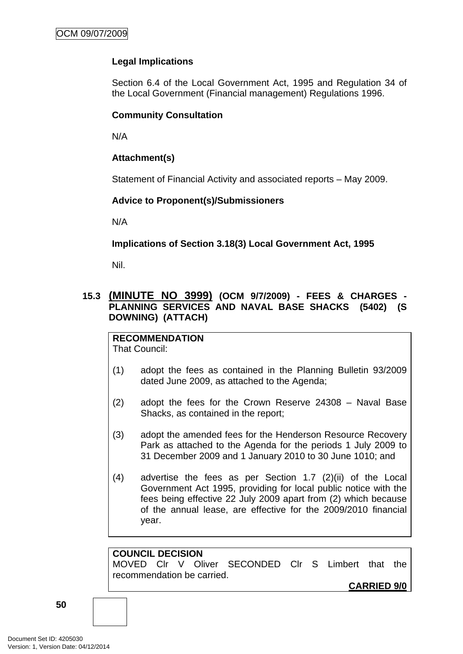## **Legal Implications**

Section 6.4 of the Local Government Act, 1995 and Regulation 34 of the Local Government (Financial management) Regulations 1996.

## **Community Consultation**

N/A

## **Attachment(s)**

Statement of Financial Activity and associated reports – May 2009.

## **Advice to Proponent(s)/Submissioners**

N/A

**Implications of Section 3.18(3) Local Government Act, 1995**

Nil.

## **15.3 (MINUTE NO 3999) (OCM 9/7/2009) - FEES & CHARGES - PLANNING SERVICES AND NAVAL BASE SHACKS (5402) (S DOWNING) (ATTACH)**

## **RECOMMENDATION**

That Council:

- (1) adopt the fees as contained in the Planning Bulletin 93/2009 dated June 2009, as attached to the Agenda;
- (2) adopt the fees for the Crown Reserve 24308 Naval Base Shacks, as contained in the report;
- (3) adopt the amended fees for the Henderson Resource Recovery Park as attached to the Agenda for the periods 1 July 2009 to 31 December 2009 and 1 January 2010 to 30 June 1010; and
- (4) advertise the fees as per Section 1.7 (2)(ii) of the Local Government Act 1995, providing for local public notice with the fees being effective 22 July 2009 apart from (2) which because of the annual lease, are effective for the 2009/2010 financial year.

## **COUNCIL DECISION**

MOVED Clr V Oliver SECONDED Clr S Limbert that the recommendation be carried.

**CARRIED 9/0**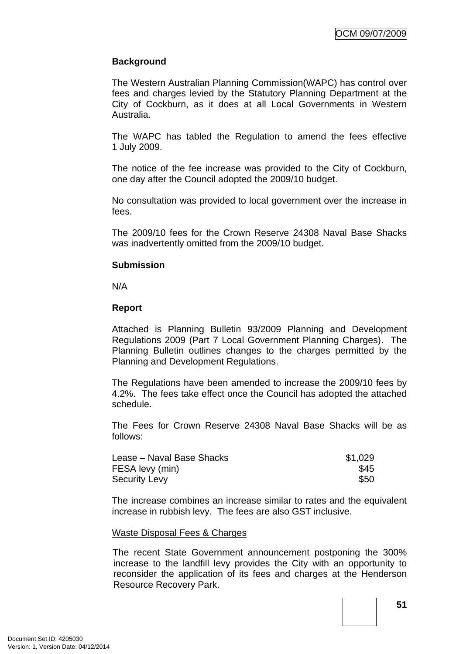## **Background**

The Western Australian Planning Commission(WAPC) has control over fees and charges levied by the Statutory Planning Department at the City of Cockburn, as it does at all Local Governments in Western Australia.

The WAPC has tabled the Regulation to amend the fees effective 1 July 2009.

The notice of the fee increase was provided to the City of Cockburn, one day after the Council adopted the 2009/10 budget.

No consultation was provided to local government over the increase in fees.

The 2009/10 fees for the Crown Reserve 24308 Naval Base Shacks was inadvertently omitted from the 2009/10 budget.

#### **Submission**

N/A

#### **Report**

Attached is Planning Bulletin 93/2009 Planning and Development Regulations 2009 (Part 7 Local Government Planning Charges). The Planning Bulletin outlines changes to the charges permitted by the Planning and Development Regulations.

The Regulations have been amended to increase the 2009/10 fees by 4.2%. The fees take effect once the Council has adopted the attached schedule.

The Fees for Crown Reserve 24308 Naval Base Shacks will be as follows:

| Lease – Naval Base Shacks | \$1,029 |
|---------------------------|---------|
| FESA levy (min)           | \$45    |
| <b>Security Levy</b>      | \$50    |

The increase combines an increase similar to rates and the equivalent increase in rubbish levy. The fees are also GST inclusive.

#### Waste Disposal Fees & Charges

The recent State Government announcement postponing the 300% increase to the landfill levy provides the City with an opportunity to reconsider the application of its fees and charges at the Henderson Resource Recovery Park.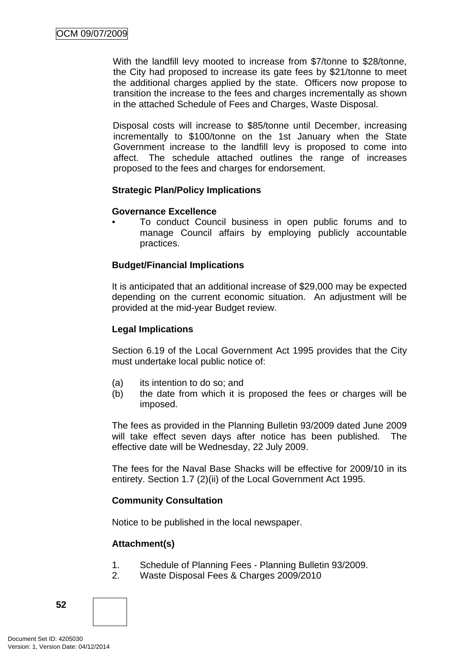With the landfill levy mooted to increase from \$7/tonne to \$28/tonne, the City had proposed to increase its gate fees by \$21/tonne to meet the additional charges applied by the state. Officers now propose to transition the increase to the fees and charges incrementally as shown in the attached Schedule of Fees and Charges, Waste Disposal.

Disposal costs will increase to \$85/tonne until December, increasing incrementally to \$100/tonne on the 1st January when the State Government increase to the landfill levy is proposed to come into affect. The schedule attached outlines the range of increases proposed to the fees and charges for endorsement.

#### **Strategic Plan/Policy Implications**

#### **Governance Excellence**

• To conduct Council business in open public forums and to manage Council affairs by employing publicly accountable practices.

## **Budget/Financial Implications**

It is anticipated that an additional increase of \$29,000 may be expected depending on the current economic situation. An adjustment will be provided at the mid-year Budget review.

## **Legal Implications**

Section 6.19 of the Local Government Act 1995 provides that the City must undertake local public notice of:

- (a) its intention to do so; and
- (b) the date from which it is proposed the fees or charges will be imposed.

The fees as provided in the Planning Bulletin 93/2009 dated June 2009 will take effect seven days after notice has been published. The effective date will be Wednesday, 22 July 2009.

The fees for the Naval Base Shacks will be effective for 2009/10 in its entirety. Section 1.7 (2)(ii) of the Local Government Act 1995.

## **Community Consultation**

Notice to be published in the local newspaper.

## **Attachment(s)**

- 1. Schedule of Planning Fees Planning Bulletin 93/2009.
- 2. Waste Disposal Fees & Charges 2009/2010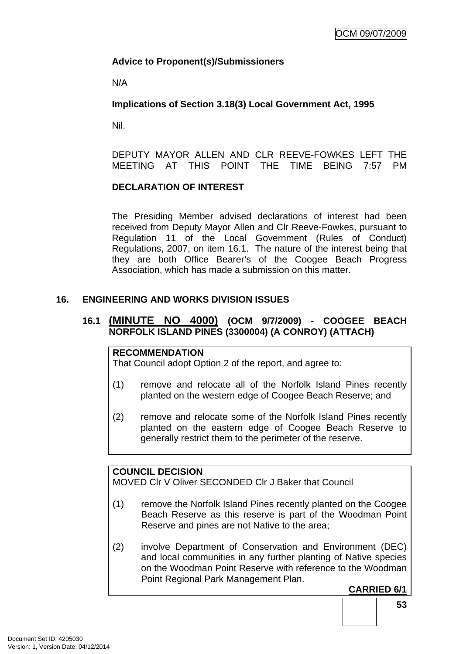## **Advice to Proponent(s)/Submissioners**

N/A

## **Implications of Section 3.18(3) Local Government Act, 1995**

Nil.

DEPUTY MAYOR ALLEN AND CLR REEVE-FOWKES LEFT THE MEETING AT THIS POINT THE TIME BEING 7:57 PM

## **DECLARATION OF INTEREST**

The Presiding Member advised declarations of interest had been received from Deputy Mayor Allen and Clr Reeve-Fowkes, pursuant to Regulation 11 of the Local Government (Rules of Conduct) Regulations, 2007, on item 16.1. The nature of the interest being that they are both Office Bearer's of the Coogee Beach Progress Association, which has made a submission on this matter.

## **16. ENGINEERING AND WORKS DIVISION ISSUES**

## **16.1 (MINUTE NO 4000) (OCM 9/7/2009) - COOGEE BEACH NORFOLK ISLAND PINES (3300004) (A CONROY) (ATTACH)**

## **RECOMMENDATION**

That Council adopt Option 2 of the report, and agree to:

- (1) remove and relocate all of the Norfolk Island Pines recently planted on the western edge of Coogee Beach Reserve; and
- (2) remove and relocate some of the Norfolk Island Pines recently planted on the eastern edge of Coogee Beach Reserve to generally restrict them to the perimeter of the reserve.

#### **COUNCIL DECISION**

MOVED Clr V Oliver SECONDED Clr J Baker that Council

- (1) remove the Norfolk Island Pines recently planted on the Coogee Beach Reserve as this reserve is part of the Woodman Point Reserve and pines are not Native to the area;
- (2) involve Department of Conservation and Environment (DEC) and local communities in any further planting of Native species on the Woodman Point Reserve with reference to the Woodman Point Regional Park Management Plan.

#### **CARRIED 6/1**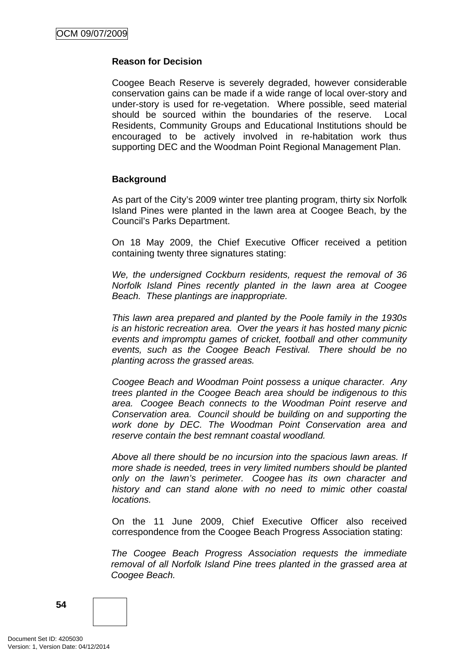#### **Reason for Decision**

Coogee Beach Reserve is severely degraded, however considerable conservation gains can be made if a wide range of local over-story and under-story is used for re-vegetation. Where possible, seed material should be sourced within the boundaries of the reserve. Local Residents, Community Groups and Educational Institutions should be encouraged to be actively involved in re-habitation work thus supporting DEC and the Woodman Point Regional Management Plan.

#### **Background**

As part of the City's 2009 winter tree planting program, thirty six Norfolk Island Pines were planted in the lawn area at Coogee Beach, by the Council's Parks Department.

On 18 May 2009, the Chief Executive Officer received a petition containing twenty three signatures stating:

*We, the undersigned Cockburn residents, request the removal of 36 Norfolk Island Pines recently planted in the lawn area at Coogee Beach. These plantings are inappropriate.* 

*This lawn area prepared and planted by the Poole family in the 1930s is an historic recreation area. Over the years it has hosted many picnic events and impromptu games of cricket, football and other community events, such as the Coogee Beach Festival. There should be no planting across the grassed areas.* 

*Coogee Beach and Woodman Point possess a unique character. Any trees planted in the Coogee Beach area should be indigenous to this area. Coogee Beach connects to the Woodman Point reserve and Conservation area. Council should be building on and supporting the work done by DEC. The Woodman Point Conservation area and reserve contain the best remnant coastal woodland.* 

*Above all there should be no incursion into the spacious lawn areas. If more shade is needed, trees in very limited numbers should be planted only on the lawn's perimeter. Coogee has its own character and history and can stand alone with no need to mimic other coastal locations.* 

On the 11 June 2009, Chief Executive Officer also received correspondence from the Coogee Beach Progress Association stating:

*The Coogee Beach Progress Association requests the immediate removal of all Norfolk Island Pine trees planted in the grassed area at Coogee Beach.* 

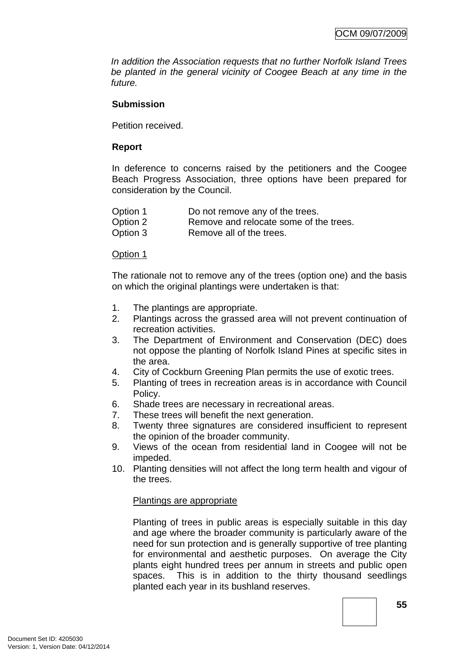*In addition the Association requests that no further Norfolk Island Trees be planted in the general vicinity of Coogee Beach at any time in the future.*

## **Submission**

Petition received.

#### **Report**

In deference to concerns raised by the petitioners and the Coogee Beach Progress Association, three options have been prepared for consideration by the Council.

| Option 1 | Do not remove any of the trees.        |
|----------|----------------------------------------|
| Option 2 | Remove and relocate some of the trees. |
| Option 3 | Remove all of the trees.               |

#### Option 1

The rationale not to remove any of the trees (option one) and the basis on which the original plantings were undertaken is that:

- 1. The plantings are appropriate.
- 2. Plantings across the grassed area will not prevent continuation of recreation activities.
- 3. The Department of Environment and Conservation (DEC) does not oppose the planting of Norfolk Island Pines at specific sites in the area.
- 4. City of Cockburn Greening Plan permits the use of exotic trees.
- 5. Planting of trees in recreation areas is in accordance with Council Policy.
- 6. Shade trees are necessary in recreational areas.
- 7. These trees will benefit the next generation.
- 8. Twenty three signatures are considered insufficient to represent the opinion of the broader community.
- 9. Views of the ocean from residential land in Coogee will not be impeded.
- 10. Planting densities will not affect the long term health and vigour of the trees.

#### Plantings are appropriate

Planting of trees in public areas is especially suitable in this day and age where the broader community is particularly aware of the need for sun protection and is generally supportive of tree planting for environmental and aesthetic purposes. On average the City plants eight hundred trees per annum in streets and public open spaces. This is in addition to the thirty thousand seedlings planted each year in its bushland reserves.

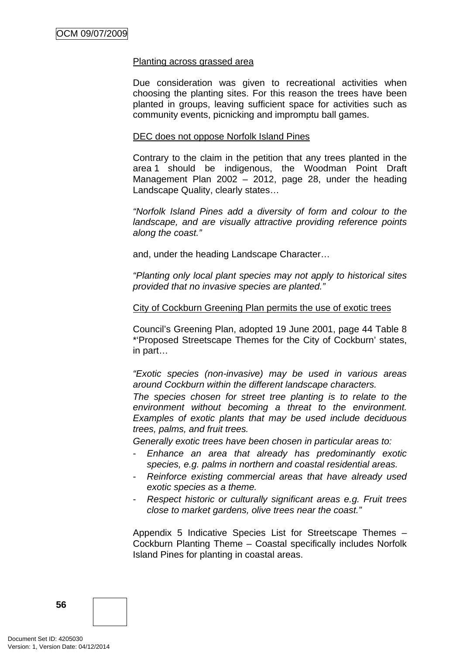#### Planting across grassed area

Due consideration was given to recreational activities when choosing the planting sites. For this reason the trees have been planted in groups, leaving sufficient space for activities such as community events, picnicking and impromptu ball games.

#### DEC does not oppose Norfolk Island Pines

Contrary to the claim in the petition that any trees planted in the area 1 should be indigenous, the Woodman Point Draft Management Plan 2002 – 2012, page 28, under the heading Landscape Quality, clearly states…

*"Norfolk Island Pines add a diversity of form and colour to the landscape, and are visually attractive providing reference points along the coast."* 

and, under the heading Landscape Character…

*"Planting only local plant species may not apply to historical sites provided that no invasive species are planted."* 

#### City of Cockburn Greening Plan permits the use of exotic trees

Council's Greening Plan, adopted 19 June 2001, page 44 Table 8 \*'Proposed Streetscape Themes for the City of Cockburn' states, in part…

*"Exotic species (non-invasive) may be used in various areas around Cockburn within the different landscape characters.* 

*The species chosen for street tree planting is to relate to the environment without becoming a threat to the environment. Examples of exotic plants that may be used include deciduous trees, palms, and fruit trees.* 

*Generally exotic trees have been chosen in particular areas to:* 

- *Enhance an area that already has predominantly exotic species, e.g. palms in northern and coastal residential areas.*
- *Reinforce existing commercial areas that have already used exotic species as a theme.*
- *Respect historic or culturally significant areas e.g. Fruit trees close to market gardens, olive trees near the coast."*

Appendix 5 Indicative Species List for Streetscape Themes – Cockburn Planting Theme – Coastal specifically includes Norfolk Island Pines for planting in coastal areas.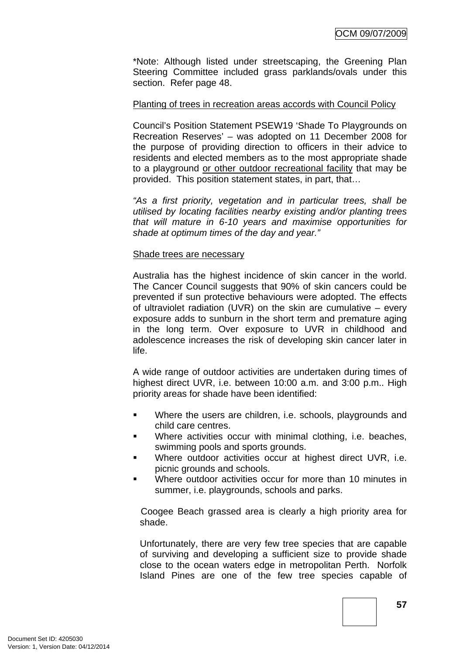\*Note: Although listed under streetscaping, the Greening Plan Steering Committee included grass parklands/ovals under this section. Refer page 48.

#### Planting of trees in recreation areas accords with Council Policy

Council's Position Statement PSEW19 'Shade To Playgrounds on Recreation Reserves' – was adopted on 11 December 2008 for the purpose of providing direction to officers in their advice to residents and elected members as to the most appropriate shade to a playground or other outdoor recreational facility that may be provided. This position statement states, in part, that…

*"As a first priority, vegetation and in particular trees, shall be utilised by locating facilities nearby existing and/or planting trees that will mature in 6-10 years and maximise opportunities for shade at optimum times of the day and year."* 

#### Shade trees are necessary

Australia has the highest incidence of skin cancer in the world. The Cancer Council suggests that 90% of skin cancers could be prevented if sun protective behaviours were adopted. The effects of ultraviolet radiation (UVR) on the skin are cumulative – every exposure adds to sunburn in the short term and premature aging in the long term. Over exposure to UVR in childhood and adolescence increases the risk of developing skin cancer later in life.

A wide range of outdoor activities are undertaken during times of highest direct UVR, i.e. between 10:00 a.m. and 3:00 p.m.. High priority areas for shade have been identified:

- Where the users are children, i.e. schools, playgrounds and child care centres.
- Where activities occur with minimal clothing, i.e. beaches, swimming pools and sports grounds.
- Where outdoor activities occur at highest direct UVR, i.e. picnic grounds and schools.
- Where outdoor activities occur for more than 10 minutes in summer, i.e. playgrounds, schools and parks.

Coogee Beach grassed area is clearly a high priority area for shade.

Unfortunately, there are very few tree species that are capable of surviving and developing a sufficient size to provide shade close to the ocean waters edge in metropolitan Perth. Norfolk Island Pines are one of the few tree species capable of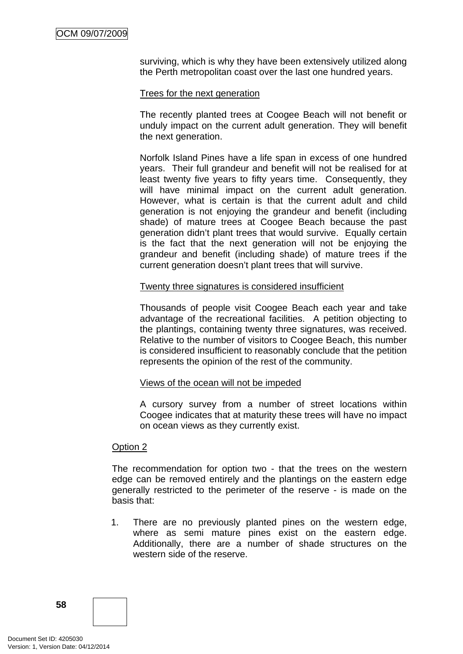surviving, which is why they have been extensively utilized along the Perth metropolitan coast over the last one hundred years.

#### Trees for the next generation

The recently planted trees at Coogee Beach will not benefit or unduly impact on the current adult generation. They will benefit the next generation.

Norfolk Island Pines have a life span in excess of one hundred years. Their full grandeur and benefit will not be realised for at least twenty five years to fifty years time. Consequently, they will have minimal impact on the current adult generation. However, what is certain is that the current adult and child generation is not enjoying the grandeur and benefit (including shade) of mature trees at Coogee Beach because the past generation didn't plant trees that would survive. Equally certain is the fact that the next generation will not be enjoying the grandeur and benefit (including shade) of mature trees if the current generation doesn't plant trees that will survive.

#### Twenty three signatures is considered insufficient

Thousands of people visit Coogee Beach each year and take advantage of the recreational facilities. A petition objecting to the plantings, containing twenty three signatures, was received. Relative to the number of visitors to Coogee Beach, this number is considered insufficient to reasonably conclude that the petition represents the opinion of the rest of the community.

#### Views of the ocean will not be impeded

A cursory survey from a number of street locations within Coogee indicates that at maturity these trees will have no impact on ocean views as they currently exist.

#### Option 2

The recommendation for option two - that the trees on the western edge can be removed entirely and the plantings on the eastern edge generally restricted to the perimeter of the reserve - is made on the basis that:

1. There are no previously planted pines on the western edge, where as semi mature pines exist on the eastern edge. Additionally, there are a number of shade structures on the western side of the reserve.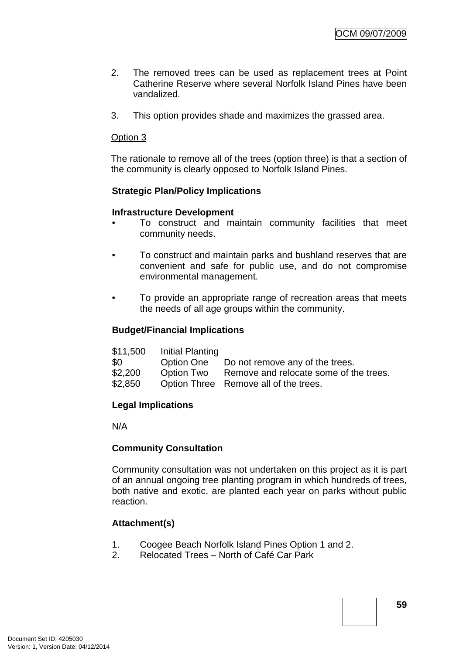- 2. The removed trees can be used as replacement trees at Point Catherine Reserve where several Norfolk Island Pines have been vandalized.
- 3. This option provides shade and maximizes the grassed area.

#### Option 3

The rationale to remove all of the trees (option three) is that a section of the community is clearly opposed to Norfolk Island Pines.

#### **Strategic Plan/Policy Implications**

#### **Infrastructure Development**

- To construct and maintain community facilities that meet community needs.
- To construct and maintain parks and bushland reserves that are convenient and safe for public use, and do not compromise environmental management.
- To provide an appropriate range of recreation areas that meets the needs of all age groups within the community.

#### **Budget/Financial Implications**

| \$11,500   | Initial Planting |                                                   |
|------------|------------------|---------------------------------------------------|
| <b>\$0</b> |                  | Option One Do not remove any of the trees.        |
| \$2,200    |                  | Option Two Remove and relocate some of the trees. |
| \$2,850    |                  | Option Three Remove all of the trees.             |

#### **Legal Implications**

N/A

#### **Community Consultation**

Community consultation was not undertaken on this project as it is part of an annual ongoing tree planting program in which hundreds of trees, both native and exotic, are planted each year on parks without public reaction.

#### **Attachment(s)**

- 1. Coogee Beach Norfolk Island Pines Option 1 and 2.
- 2. Relocated Trees North of Café Car Park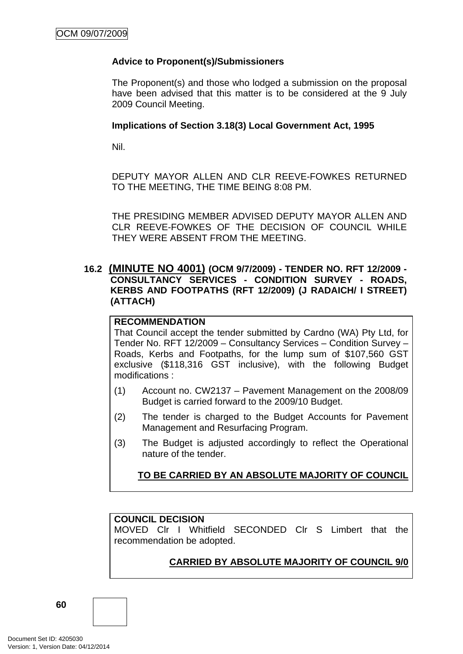## **Advice to Proponent(s)/Submissioners**

The Proponent(s) and those who lodged a submission on the proposal have been advised that this matter is to be considered at the 9 July 2009 Council Meeting.

#### **Implications of Section 3.18(3) Local Government Act, 1995**

Nil.

DEPUTY MAYOR ALLEN AND CLR REEVE-FOWKES RETURNED TO THE MEETING, THE TIME BEING 8:08 PM.

THE PRESIDING MEMBER ADVISED DEPUTY MAYOR ALLEN AND CLR REEVE-FOWKES OF THE DECISION OF COUNCIL WHILE THEY WERE ABSENT FROM THE MEETING.

## **16.2 (MINUTE NO 4001) (OCM 9/7/2009) - TENDER NO. RFT 12/2009 - CONSULTANCY SERVICES - CONDITION SURVEY - ROADS, KERBS AND FOOTPATHS (RFT 12/2009) (J RADAICH/ I STREET) (ATTACH)**

## **RECOMMENDATION**

That Council accept the tender submitted by Cardno (WA) Pty Ltd, for Tender No. RFT 12/2009 – Consultancy Services – Condition Survey – Roads, Kerbs and Footpaths, for the lump sum of \$107,560 GST exclusive (\$118,316 GST inclusive), with the following Budget modifications :

- (1) Account no. CW2137 Pavement Management on the 2008/09 Budget is carried forward to the 2009/10 Budget.
- (2) The tender is charged to the Budget Accounts for Pavement Management and Resurfacing Program.
- (3) The Budget is adjusted accordingly to reflect the Operational nature of the tender.

#### **TO BE CARRIED BY AN ABSOLUTE MAJORITY OF COUNCIL**

#### **COUNCIL DECISION**

MOVED Clr I Whitfield SECONDED Clr S Limbert that the recommendation be adopted.

## **CARRIED BY ABSOLUTE MAJORITY OF COUNCIL 9/0**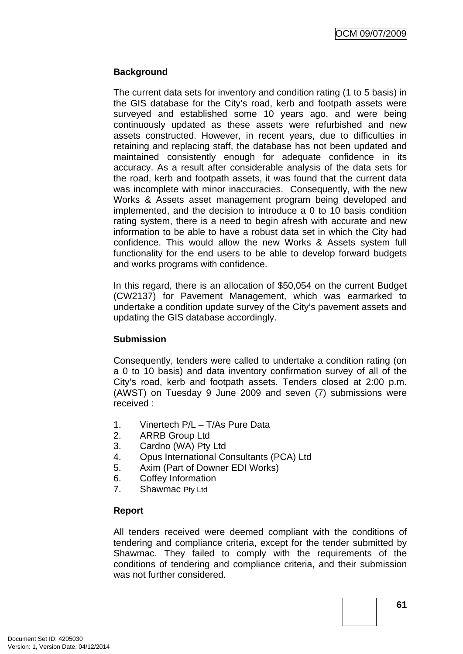OCM 09/07/2009

#### **Background**

The current data sets for inventory and condition rating (1 to 5 basis) in the GIS database for the City's road, kerb and footpath assets were surveyed and established some 10 years ago, and were being continuously updated as these assets were refurbished and new assets constructed. However, in recent years, due to difficulties in retaining and replacing staff, the database has not been updated and maintained consistently enough for adequate confidence in its accuracy. As a result after considerable analysis of the data sets for the road, kerb and footpath assets, it was found that the current data was incomplete with minor inaccuracies. Consequently, with the new Works & Assets asset management program being developed and implemented, and the decision to introduce a 0 to 10 basis condition rating system, there is a need to begin afresh with accurate and new information to be able to have a robust data set in which the City had confidence. This would allow the new Works & Assets system full functionality for the end users to be able to develop forward budgets and works programs with confidence.

In this regard, there is an allocation of \$50,054 on the current Budget (CW2137) for Pavement Management, which was earmarked to undertake a condition update survey of the City's pavement assets and updating the GIS database accordingly.

#### **Submission**

Consequently, tenders were called to undertake a condition rating (on a 0 to 10 basis) and data inventory confirmation survey of all of the City's road, kerb and footpath assets. Tenders closed at 2:00 p.m. (AWST) on Tuesday 9 June 2009 and seven (7) submissions were received :

- 1. Vinertech P/L T/As Pure Data
- 2. ARRB Group Ltd
- 3. Cardno (WA) Pty Ltd
- 4. Opus International Consultants (PCA) Ltd
- 5. Axim (Part of Downer EDI Works)
- 6. Coffey Information
- 7. Shawmac Pty Ltd

## **Report**

All tenders received were deemed compliant with the conditions of tendering and compliance criteria, except for the tender submitted by Shawmac. They failed to comply with the requirements of the conditions of tendering and compliance criteria, and their submission was not further considered.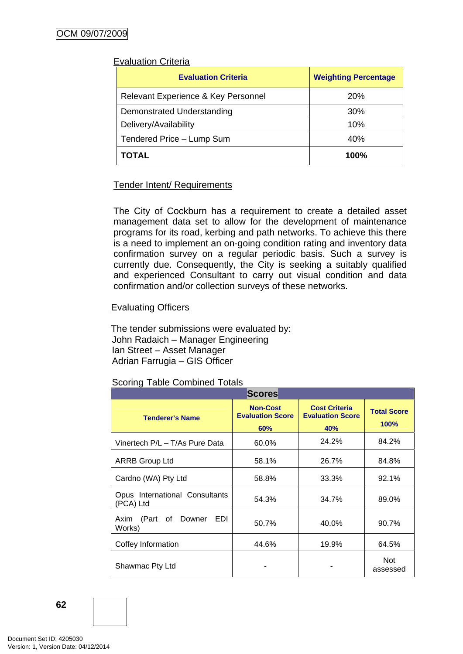#### Evaluation Criteria

| <b>Evaluation Criteria</b>          | <b>Weighting Percentage</b> |  |
|-------------------------------------|-----------------------------|--|
| Relevant Experience & Key Personnel | <b>20%</b>                  |  |
| Demonstrated Understanding          | 30%                         |  |
| Delivery/Availability               | 10%                         |  |
| Tendered Price - Lump Sum           | 40%                         |  |
| <b>TOTAL</b>                        | 100%                        |  |

## Tender Intent/ Requirements

The City of Cockburn has a requirement to create a detailed asset management data set to allow for the development of maintenance programs for its road, kerbing and path networks. To achieve this there is a need to implement an on-going condition rating and inventory data confirmation survey on a regular periodic basis. Such a survey is currently due. Consequently, the City is seeking a suitably qualified and experienced Consultant to carry out visual condition and data confirmation and/or collection surveys of these networks.

## Evaluating Officers

The tender submissions were evaluated by: John Radaich – Manager Engineering Ian Street – Asset Manager Adrian Farrugia – GIS Officer

#### Scoring Table Combined Totals

| <b>Scores</b>                                      |                                                   |                                                        |                            |
|----------------------------------------------------|---------------------------------------------------|--------------------------------------------------------|----------------------------|
| <b>Tenderer's Name</b>                             | <b>Non-Cost</b><br><b>Evaluation Score</b><br>60% | <b>Cost Criteria</b><br><b>Evaluation Score</b><br>40% | <b>Total Score</b><br>100% |
| Vinertech P/L - T/As Pure Data                     | 60.0%                                             | 24.2%                                                  | 84.2%                      |
| <b>ARRB Group Ltd</b>                              | 58.1%                                             | 26.7%                                                  | 84.8%                      |
| Cardno (WA) Pty Ltd                                | 58.8%                                             | 33.3%                                                  | 92.1%                      |
| Opus International Consultants<br>(PCA) Ltd        | 54.3%                                             | 34.7%                                                  | 89.0%                      |
| <b>EDI</b><br>(Part of<br>Downer<br>Axim<br>Works) | 50.7%                                             | 40.0%                                                  | 90.7%                      |
| Coffey Information                                 | 44.6%                                             | 19.9%                                                  | 64.5%                      |
| Shawmac Pty Ltd                                    |                                                   |                                                        | <b>Not</b><br>assessed     |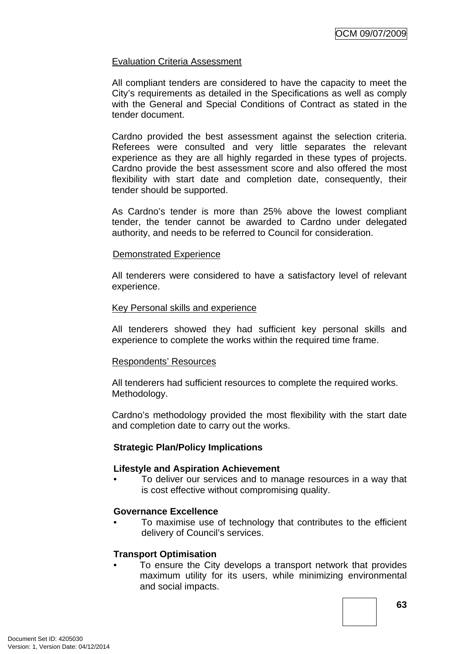## Evaluation Criteria Assessment

All compliant tenders are considered to have the capacity to meet the City's requirements as detailed in the Specifications as well as comply with the General and Special Conditions of Contract as stated in the tender document.

Cardno provided the best assessment against the selection criteria. Referees were consulted and very little separates the relevant experience as they are all highly regarded in these types of projects. Cardno provide the best assessment score and also offered the most flexibility with start date and completion date, consequently, their tender should be supported.

As Cardno's tender is more than 25% above the lowest compliant tender, the tender cannot be awarded to Cardno under delegated authority, and needs to be referred to Council for consideration.

#### Demonstrated Experience

All tenderers were considered to have a satisfactory level of relevant experience.

#### Key Personal skills and experience

All tenderers showed they had sufficient key personal skills and experience to complete the works within the required time frame.

#### Respondents' Resources

All tenderers had sufficient resources to complete the required works. Methodology.

Cardno's methodology provided the most flexibility with the start date and completion date to carry out the works.

#### **Strategic Plan/Policy Implications**

#### **Lifestyle and Aspiration Achievement**

• To deliver our services and to manage resources in a way that is cost effective without compromising quality.

#### **Governance Excellence**

• To maximise use of technology that contributes to the efficient delivery of Council's services.

#### **Transport Optimisation**

To ensure the City develops a transport network that provides maximum utility for its users, while minimizing environmental and social impacts.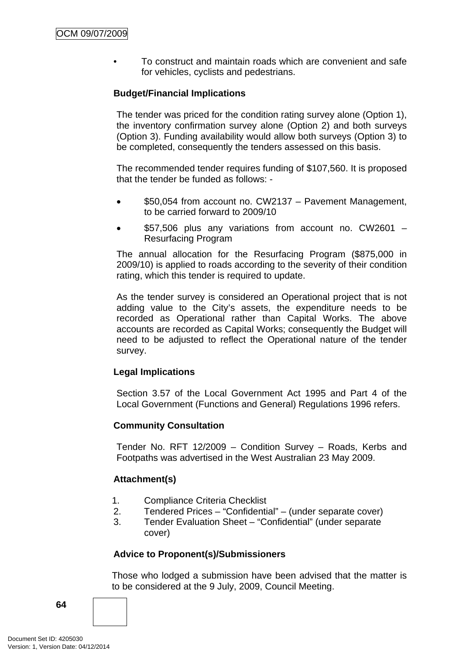• To construct and maintain roads which are convenient and safe for vehicles, cyclists and pedestrians.

## **Budget/Financial Implications**

The tender was priced for the condition rating survey alone (Option 1), the inventory confirmation survey alone (Option 2) and both surveys (Option 3). Funding availability would allow both surveys (Option 3) to be completed, consequently the tenders assessed on this basis.

The recommended tender requires funding of \$107,560. It is proposed that the tender be funded as follows: -

- \$50,054 from account no. CW2137 Pavement Management, to be carried forward to 2009/10
- \$57,506 plus any variations from account no. CW2601 Resurfacing Program

The annual allocation for the Resurfacing Program (\$875,000 in 2009/10) is applied to roads according to the severity of their condition rating, which this tender is required to update.

As the tender survey is considered an Operational project that is not adding value to the City's assets, the expenditure needs to be recorded as Operational rather than Capital Works. The above accounts are recorded as Capital Works; consequently the Budget will need to be adjusted to reflect the Operational nature of the tender survey.

#### **Legal Implications**

Section 3.57 of the Local Government Act 1995 and Part 4 of the Local Government (Functions and General) Regulations 1996 refers.

#### **Community Consultation**

Tender No. RFT 12/2009 – Condition Survey – Roads, Kerbs and Footpaths was advertised in the West Australian 23 May 2009.

#### **Attachment(s)**

- 1. Compliance Criteria Checklist
- 2. Tendered Prices "Confidential" (under separate cover)
- 3. Tender Evaluation Sheet "Confidential" (under separate cover)

#### **Advice to Proponent(s)/Submissioners**

Those who lodged a submission have been advised that the matter is to be considered at the 9 July, 2009, Council Meeting.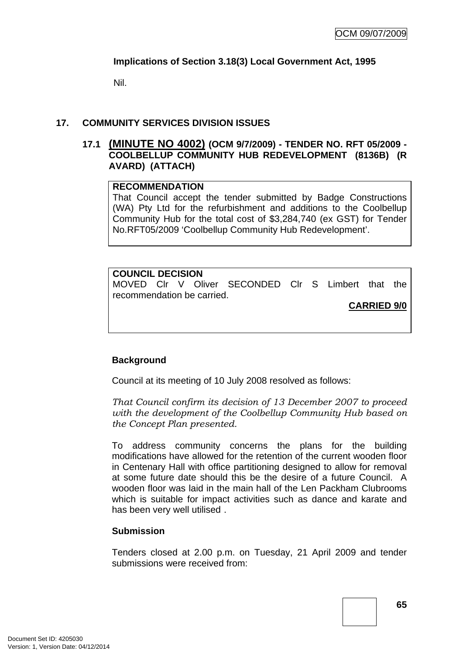## **Implications of Section 3.18(3) Local Government Act, 1995**

Nil.

## **17. COMMUNITY SERVICES DIVISION ISSUES**

## **17.1 (MINUTE NO 4002) (OCM 9/7/2009) - TENDER NO. RFT 05/2009 - COOLBELLUP COMMUNITY HUB REDEVELOPMENT (8136B) (R AVARD) (ATTACH)**

#### **RECOMMENDATION**

That Council accept the tender submitted by Badge Constructions (WA) Pty Ltd for the refurbishment and additions to the Coolbellup Community Hub for the total cost of \$3,284,740 (ex GST) for Tender No.RFT05/2009 'Coolbellup Community Hub Redevelopment'.

#### **COUNCIL DECISION**  MOVED Clr V Oliver SECONDED Clr S Limbert that the recommendation be carried. **CARRIED 9/0**

#### **Background**

Council at its meeting of 10 July 2008 resolved as follows:

*That Council confirm its decision of 13 December 2007 to proceed with the development of the Coolbellup Community Hub based on the Concept Plan presented.* 

To address community concerns the plans for the building modifications have allowed for the retention of the current wooden floor in Centenary Hall with office partitioning designed to allow for removal at some future date should this be the desire of a future Council. A wooden floor was laid in the main hall of the Len Packham Clubrooms which is suitable for impact activities such as dance and karate and has been very well utilised .

#### **Submission**

Tenders closed at 2.00 p.m. on Tuesday, 21 April 2009 and tender submissions were received from: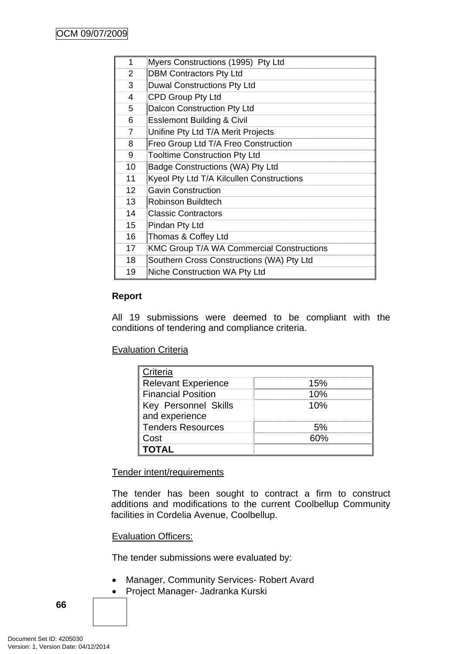| 1               | Myers Constructions (1995) Pty Ltd               |
|-----------------|--------------------------------------------------|
| 2               | <b>DBM Contractors Pty Ltd</b>                   |
| 3               | <b>Duwal Constructions Pty Ltd</b>               |
| 4               | CPD Group Pty Ltd                                |
| 5               | Dalcon Construction Pty Ltd                      |
| 6               | <b>Esslemont Building &amp; Civil</b>            |
| 7               | Unifine Pty Ltd T/A Merit Projects               |
| 8               | Freo Group Ltd T/A Freo Construction             |
| 9               | <b>Tooltime Construction Pty Ltd</b>             |
| 10              | Badge Constructions (WA) Pty Ltd                 |
| 11              | Kyeol Pty Ltd T/A Kilcullen Constructions        |
| 12 <sup>2</sup> | <b>Gavin Construction</b>                        |
| 13              | Robinson Buildtech                               |
| 14              | <b>Classic Contractors</b>                       |
| 15              | Pindan Pty Ltd                                   |
| 16              | Thomas & Coffey Ltd                              |
| 17              | <b>KMC Group T/A WA Commercial Constructions</b> |
| 18              | Southern Cross Constructions (WA) Pty Ltd        |
| 19              | Niche Construction WA Pty Ltd                    |

## **Report**

All 19 submissions were deemed to be compliant with the conditions of tendering and compliance criteria.

**Evaluation Criteria** 

| <b>Criteria</b>            |     |
|----------------------------|-----|
| <b>Relevant Experience</b> | 15% |
| <b>Financial Position</b>  | 10% |
| Key Personnel Skills       | 10% |
| and experience             |     |
| <b>Tenders Resources</b>   |     |
| Cost∶                      |     |
| <b>OTAL</b>                |     |

Tender intent/requirements

The tender has been sought to contract a firm to construct additions and modifications to the current Coolbellup Community facilities in Cordelia Avenue, Coolbellup.

Evaluation Officers:

The tender submissions were evaluated by:

- Manager, Community Services- Robert Avard
- Project Manager- Jadranka Kurski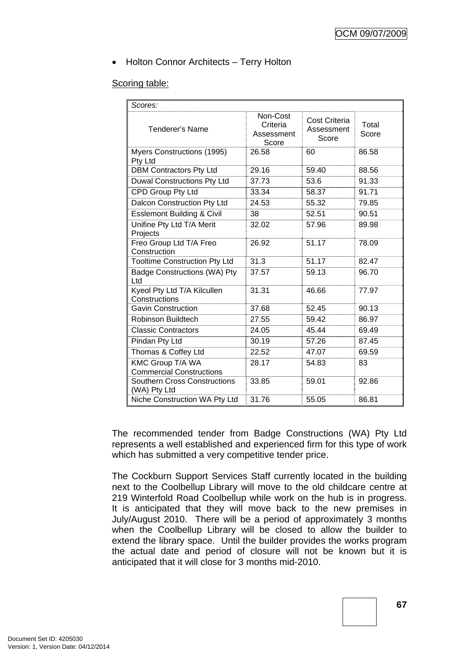## • Holton Connor Architects – Terry Holton

#### Scoring table:

| Scores:                                             |                                             |                                      |                |
|-----------------------------------------------------|---------------------------------------------|--------------------------------------|----------------|
| Tenderer's Name                                     | Non-Cost<br>Criteria<br>Assessment<br>Score | Cost Criteria<br>Assessment<br>Score | Total<br>Score |
| Myers Constructions (1995)<br>Pty Ltd               | 26.58                                       | 60                                   | 86.58          |
| <b>DBM Contractors Pty Ltd</b>                      | 29.16                                       | 59.40                                | 88.56          |
| <b>Duwal Constructions Pty Ltd</b>                  | 37.73                                       | 53.6                                 | 91.33          |
| CPD Group Pty Ltd                                   | 33.34                                       | 58.37                                | 91.71          |
| Dalcon Construction Pty Ltd                         | 24.53                                       | 55.32                                | 79.85          |
| <b>Esslemont Building &amp; Civil</b>               | 38                                          | 52.51                                | 90.51          |
| Unifine Pty Ltd T/A Merit<br>Projects               | 32.02                                       | 57.96                                | 89.98          |
| Freo Group Ltd T/A Freo<br>Construction             | 26.92                                       | 51.17                                | 78.09          |
| <b>Tooltime Construction Pty Ltd</b>                | 31.3                                        | 51.17                                | 82.47          |
| Badge Constructions (WA) Pty<br>Ltd                 | 37.57                                       | 59.13                                | 96.70          |
| Kyeol Pty Ltd T/A Kilcullen<br>Constructions        | 31.31                                       | 46.66                                | 77.97          |
| <b>Gavin Construction</b>                           | 37.68                                       | 52.45                                | 90.13          |
| Robinson Buildtech                                  | 27.55                                       | 59.42                                | 86.97          |
| <b>Classic Contractors</b>                          | 24.05                                       | 45.44                                | 69.49          |
| Pindan Pty Ltd                                      | 30.19                                       | 57.26                                | 87.45          |
| Thomas & Coffey Ltd                                 | 22.52                                       | 47.07                                | 69.59          |
| KMC Group T/A WA<br><b>Commercial Constructions</b> | 28.17                                       | 54.83                                | 83             |
| <b>Southern Cross Constructions</b><br>(WA) Pty Ltd | 33.85                                       | 59.01                                | 92.86          |
| Niche Construction WA Pty Ltd                       | 31.76                                       | 55.05                                | 86.81          |

The recommended tender from Badge Constructions (WA) Pty Ltd represents a well established and experienced firm for this type of work which has submitted a very competitive tender price.

The Cockburn Support Services Staff currently located in the building next to the Coolbellup Library will move to the old childcare centre at 219 Winterfold Road Coolbellup while work on the hub is in progress. It is anticipated that they will move back to the new premises in July/August 2010. There will be a period of approximately 3 months when the Coolbellup Library will be closed to allow the builder to extend the library space. Until the builder provides the works program the actual date and period of closure will not be known but it is anticipated that it will close for 3 months mid-2010.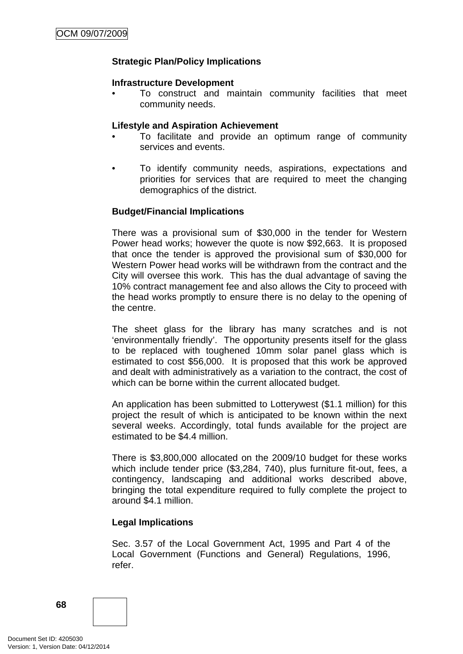## **Strategic Plan/Policy Implications**

#### **Infrastructure Development**

• To construct and maintain community facilities that meet community needs.

#### **Lifestyle and Aspiration Achievement**

- To facilitate and provide an optimum range of community services and events.
- To identify community needs, aspirations, expectations and priorities for services that are required to meet the changing demographics of the district.

#### **Budget/Financial Implications**

There was a provisional sum of \$30,000 in the tender for Western Power head works; however the quote is now \$92,663. It is proposed that once the tender is approved the provisional sum of \$30,000 for Western Power head works will be withdrawn from the contract and the City will oversee this work. This has the dual advantage of saving the 10% contract management fee and also allows the City to proceed with the head works promptly to ensure there is no delay to the opening of the centre.

The sheet glass for the library has many scratches and is not 'environmentally friendly'. The opportunity presents itself for the glass to be replaced with toughened 10mm solar panel glass which is estimated to cost \$56,000. It is proposed that this work be approved and dealt with administratively as a variation to the contract, the cost of which can be borne within the current allocated budget.

An application has been submitted to Lotterywest (\$1.1 million) for this project the result of which is anticipated to be known within the next several weeks. Accordingly, total funds available for the project are estimated to be \$4.4 million.

There is \$3,800,000 allocated on the 2009/10 budget for these works which include tender price (\$3,284, 740), plus furniture fit-out, fees, a contingency, landscaping and additional works described above, bringing the total expenditure required to fully complete the project to around \$4.1 million.

#### **Legal Implications**

Sec. 3.57 of the Local Government Act, 1995 and Part 4 of the Local Government (Functions and General) Regulations, 1996, refer.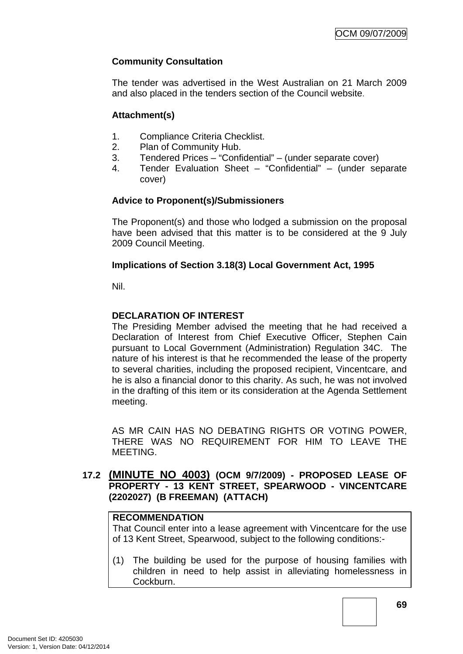## **Community Consultation**

The tender was advertised in the West Australian on 21 March 2009 and also placed in the tenders section of the Council website.

## **Attachment(s)**

- 1. Compliance Criteria Checklist.
- 2. Plan of Community Hub.
- 3. Tendered Prices "Confidential" (under separate cover)
- 4. Tender Evaluation Sheet "Confidential" (under separate cover)

## **Advice to Proponent(s)/Submissioners**

The Proponent(s) and those who lodged a submission on the proposal have been advised that this matter is to be considered at the 9 July 2009 Council Meeting.

## **Implications of Section 3.18(3) Local Government Act, 1995**

Nil.

## **DECLARATION OF INTEREST**

The Presiding Member advised the meeting that he had received a Declaration of Interest from Chief Executive Officer, Stephen Cain pursuant to Local Government (Administration) Regulation 34C. The nature of his interest is that he recommended the lease of the property to several charities, including the proposed recipient, Vincentcare, and he is also a financial donor to this charity. As such, he was not involved in the drafting of this item or its consideration at the Agenda Settlement meeting.

AS MR CAIN HAS NO DEBATING RIGHTS OR VOTING POWER, THERE WAS NO REQUIREMENT FOR HIM TO LEAVE THE MEETING.

**17.2 (MINUTE NO 4003) (OCM 9/7/2009) - PROPOSED LEASE OF PROPERTY - 13 KENT STREET, SPEARWOOD - VINCENTCARE (2202027) (B FREEMAN) (ATTACH)** 

## **RECOMMENDATION**

That Council enter into a lease agreement with Vincentcare for the use of 13 Kent Street, Spearwood, subject to the following conditions:-

(1) The building be used for the purpose of housing families with children in need to help assist in alleviating homelessness in Cockburn.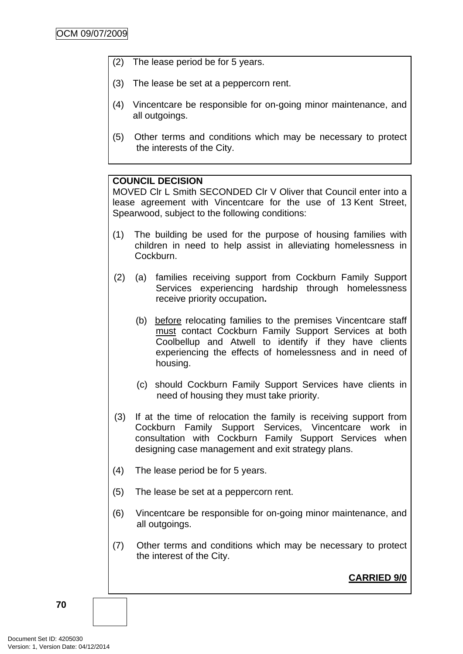- (2) The lease period be for 5 years.
- (3) The lease be set at a peppercorn rent.
- (4) Vincentcare be responsible for on-going minor maintenance, and all outgoings.
- (5) Other terms and conditions which may be necessary to protect the interests of the City.

#### **COUNCIL DECISION**

MOVED Clr L Smith SECONDED Clr V Oliver that Council enter into a lease agreement with Vincentcare for the use of 13 Kent Street, Spearwood, subject to the following conditions:

- (1) The building be used for the purpose of housing families with children in need to help assist in alleviating homelessness in Cockburn.
- (2) (a) families receiving support from Cockburn Family Support Services experiencing hardship through homelessness receive priority occupation**.**
	- (b) before relocating families to the premises Vincentcare staff must contact Cockburn Family Support Services at both Coolbellup and Atwell to identify if they have clients experiencing the effects of homelessness and in need of housing.
	- (c) should Cockburn Family Support Services have clients in need of housing they must take priority.
- (3) If at the time of relocation the family is receiving support from Cockburn Family Support Services, Vincentcare work in consultation with Cockburn Family Support Services when designing case management and exit strategy plans.
- (4) The lease period be for 5 years.
- (5) The lease be set at a peppercorn rent.
- (6) Vincentcare be responsible for on-going minor maintenance, and all outgoings.
- (7) Other terms and conditions which may be necessary to protect the interest of the City.

**CARRIED 9/0**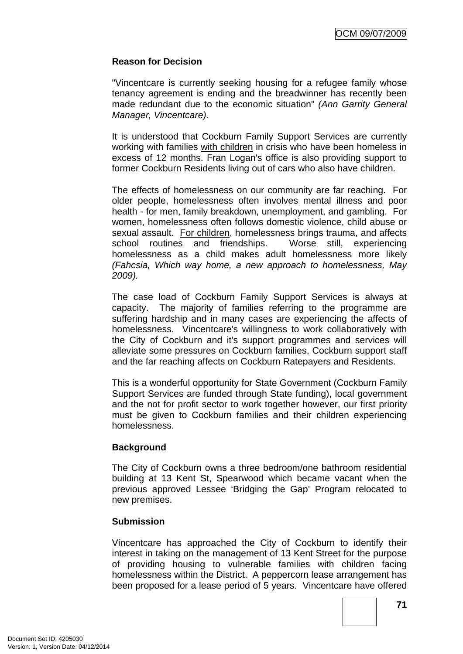## **Reason for Decision**

"Vincentcare is currently seeking housing for a refugee family whose tenancy agreement is ending and the breadwinner has recently been made redundant due to the economic situation" *(Ann Garrity General Manager, Vincentcare).*

It is understood that Cockburn Family Support Services are currently working with families with children in crisis who have been homeless in excess of 12 months. Fran Logan's office is also providing support to former Cockburn Residents living out of cars who also have children.

The effects of homelessness on our community are far reaching. For older people, homelessness often involves mental illness and poor health - for men, family breakdown, unemployment, and gambling. For women, homelessness often follows domestic violence, child abuse or sexual assault. For children, homelessness brings trauma, and affects school routines and friendships. Worse still, experiencing homelessness as a child makes adult homelessness more likely *(Fahcsia, Which way home, a new approach to homelessness, May 2009).*

The case load of Cockburn Family Support Services is always at capacity. The majority of families referring to the programme are suffering hardship and in many cases are experiencing the affects of homelessness. Vincentcare's willingness to work collaboratively with the City of Cockburn and it's support programmes and services will alleviate some pressures on Cockburn families, Cockburn support staff and the far reaching affects on Cockburn Ratepayers and Residents.

This is a wonderful opportunity for State Government (Cockburn Family Support Services are funded through State funding), local government and the not for profit sector to work together however, our first priority must be given to Cockburn families and their children experiencing homelessness.

#### **Background**

The City of Cockburn owns a three bedroom/one bathroom residential building at 13 Kent St, Spearwood which became vacant when the previous approved Lessee 'Bridging the Gap' Program relocated to new premises.

#### **Submission**

Vincentcare has approached the City of Cockburn to identify their interest in taking on the management of 13 Kent Street for the purpose of providing housing to vulnerable families with children facing homelessness within the District. A peppercorn lease arrangement has been proposed for a lease period of 5 years. Vincentcare have offered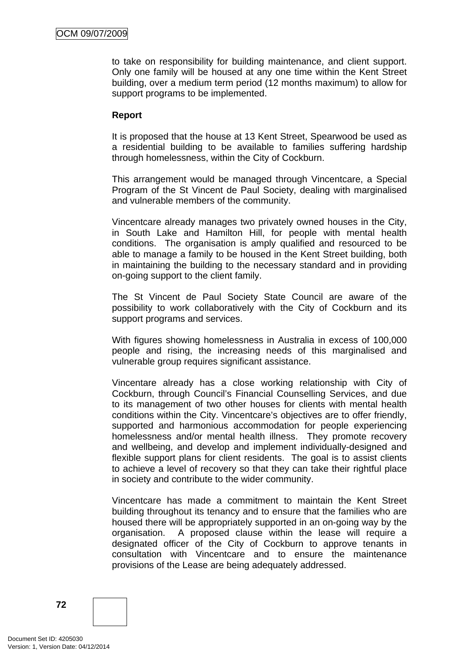to take on responsibility for building maintenance, and client support. Only one family will be housed at any one time within the Kent Street building, over a medium term period (12 months maximum) to allow for support programs to be implemented.

## **Report**

It is proposed that the house at 13 Kent Street, Spearwood be used as a residential building to be available to families suffering hardship through homelessness, within the City of Cockburn.

This arrangement would be managed through Vincentcare, a Special Program of the St Vincent de Paul Society, dealing with marginalised and vulnerable members of the community.

Vincentcare already manages two privately owned houses in the City, in South Lake and Hamilton Hill, for people with mental health conditions. The organisation is amply qualified and resourced to be able to manage a family to be housed in the Kent Street building, both in maintaining the building to the necessary standard and in providing on-going support to the client family.

The St Vincent de Paul Society State Council are aware of the possibility to work collaboratively with the City of Cockburn and its support programs and services.

With figures showing homelessness in Australia in excess of 100,000 people and rising, the increasing needs of this marginalised and vulnerable group requires significant assistance.

Vincentare already has a close working relationship with City of Cockburn, through Council's Financial Counselling Services, and due to its management of two other houses for clients with mental health conditions within the City. Vincentcare's objectives are to offer friendly, supported and harmonious accommodation for people experiencing homelessness and/or mental health illness. They promote recovery and wellbeing, and develop and implement individually-designed and flexible support plans for client residents. The goal is to assist clients to achieve a level of recovery so that they can take their rightful place in society and contribute to the wider community.

Vincentcare has made a commitment to maintain the Kent Street building throughout its tenancy and to ensure that the families who are housed there will be appropriately supported in an on-going way by the organisation. A proposed clause within the lease will require a designated officer of the City of Cockburn to approve tenants in consultation with Vincentcare and to ensure the maintenance provisions of the Lease are being adequately addressed.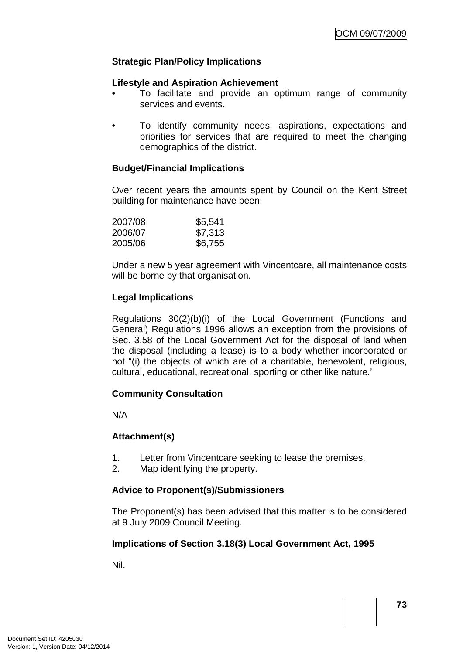# **Strategic Plan/Policy Implications**

### **Lifestyle and Aspiration Achievement**

- To facilitate and provide an optimum range of community services and events.
- To identify community needs, aspirations, expectations and priorities for services that are required to meet the changing demographics of the district.

### **Budget/Financial Implications**

Over recent years the amounts spent by Council on the Kent Street building for maintenance have been:

| \$5,541 |
|---------|
| \$7,313 |
| \$6,755 |
|         |

Under a new 5 year agreement with Vincentcare, all maintenance costs will be borne by that organisation.

### **Legal Implications**

Regulations 30(2)(b)(i) of the Local Government (Functions and General) Regulations 1996 allows an exception from the provisions of Sec. 3.58 of the Local Government Act for the disposal of land when the disposal (including a lease) is to a body whether incorporated or not "(i) the objects of which are of a charitable, benevolent, religious, cultural, educational, recreational, sporting or other like nature.'

### **Community Consultation**

N/A

### **Attachment(s)**

- 1. Letter from Vincentcare seeking to lease the premises.
- 2. Map identifying the property.

### **Advice to Proponent(s)/Submissioners**

The Proponent(s) has been advised that this matter is to be considered at 9 July 2009 Council Meeting.

### **Implications of Section 3.18(3) Local Government Act, 1995**

Nil.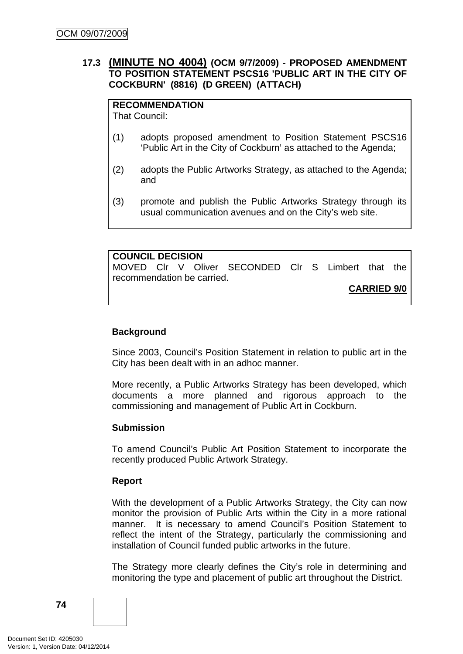# **17.3 (MINUTE NO 4004) (OCM 9/7/2009) - PROPOSED AMENDMENT TO POSITION STATEMENT PSCS16 'PUBLIC ART IN THE CITY OF COCKBURN' (8816) (D GREEN) (ATTACH)**

# **RECOMMENDATION**

That Council:

- (1) adopts proposed amendment to Position Statement PSCS16 'Public Art in the City of Cockburn' as attached to the Agenda;
- (2) adopts the Public Artworks Strategy, as attached to the Agenda; and
- (3) promote and publish the Public Artworks Strategy through its usual communication avenues and on the City's web site.

### **COUNCIL DECISION**

MOVED Clr V Oliver SECONDED Clr S Limbert that the recommendation be carried.

**CARRIED 9/0**

# **Background**

Since 2003, Council's Position Statement in relation to public art in the City has been dealt with in an adhoc manner.

More recently, a Public Artworks Strategy has been developed, which documents a more planned and rigorous approach to the commissioning and management of Public Art in Cockburn.

### **Submission**

To amend Council's Public Art Position Statement to incorporate the recently produced Public Artwork Strategy.

### **Report**

With the development of a Public Artworks Strategy, the City can now monitor the provision of Public Arts within the City in a more rational manner. It is necessary to amend Council's Position Statement to reflect the intent of the Strategy, particularly the commissioning and installation of Council funded public artworks in the future.

The Strategy more clearly defines the City's role in determining and monitoring the type and placement of public art throughout the District.

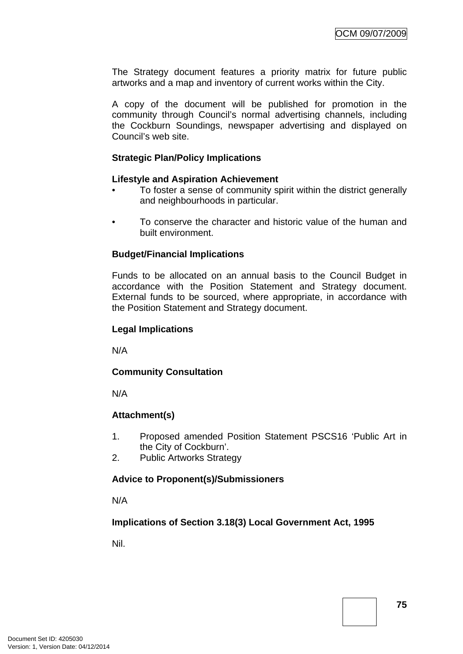The Strategy document features a priority matrix for future public artworks and a map and inventory of current works within the City.

A copy of the document will be published for promotion in the community through Council's normal advertising channels, including the Cockburn Soundings, newspaper advertising and displayed on Council's web site.

### **Strategic Plan/Policy Implications**

### **Lifestyle and Aspiration Achievement**

- To foster a sense of community spirit within the district generally and neighbourhoods in particular.
- To conserve the character and historic value of the human and built environment.

### **Budget/Financial Implications**

Funds to be allocated on an annual basis to the Council Budget in accordance with the Position Statement and Strategy document. External funds to be sourced, where appropriate, in accordance with the Position Statement and Strategy document.

### **Legal Implications**

N/A

### **Community Consultation**

N/A

### **Attachment(s)**

- 1. Proposed amended Position Statement PSCS16 'Public Art in the City of Cockburn'.
- 2. Public Artworks Strategy

### **Advice to Proponent(s)/Submissioners**

N/A

### **Implications of Section 3.18(3) Local Government Act, 1995**

Nil.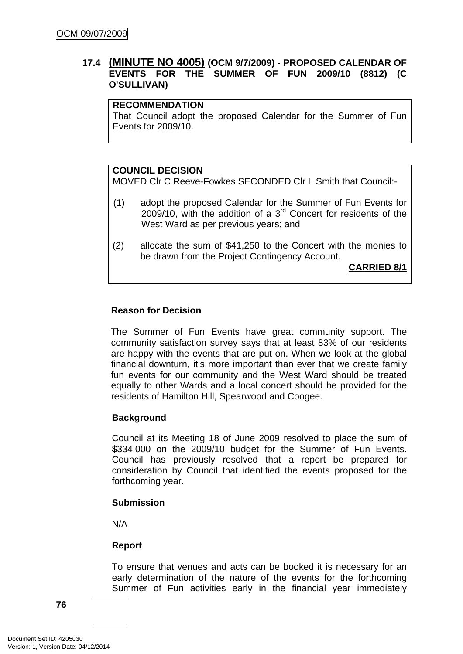# **17.4 (MINUTE NO 4005) (OCM 9/7/2009) - PROPOSED CALENDAR OF EVENTS FOR THE SUMMER OF FUN 2009/10 (8812) (C O'SULLIVAN)**

### **RECOMMENDATION**

That Council adopt the proposed Calendar for the Summer of Fun Events for 2009/10.

# **COUNCIL DECISION**

MOVED Clr C Reeve-Fowkes SECONDED Clr L Smith that Council:-

- (1) adopt the proposed Calendar for the Summer of Fun Events for 2009/10, with the addition of a 3rd Concert for residents of the West Ward as per previous years; and
- (2) allocate the sum of \$41,250 to the Concert with the monies to be drawn from the Project Contingency Account.

**CARRIED 8/1**

### **Reason for Decision**

The Summer of Fun Events have great community support. The community satisfaction survey says that at least 83% of our residents are happy with the events that are put on. When we look at the global financial downturn, it's more important than ever that we create family fun events for our community and the West Ward should be treated equally to other Wards and a local concert should be provided for the residents of Hamilton Hill, Spearwood and Coogee.

### **Background**

Council at its Meeting 18 of June 2009 resolved to place the sum of \$334,000 on the 2009/10 budget for the Summer of Fun Events. Council has previously resolved that a report be prepared for consideration by Council that identified the events proposed for the forthcoming year.

### **Submission**

N/A

# **Report**

To ensure that venues and acts can be booked it is necessary for an early determination of the nature of the events for the forthcoming Summer of Fun activities early in the financial year immediately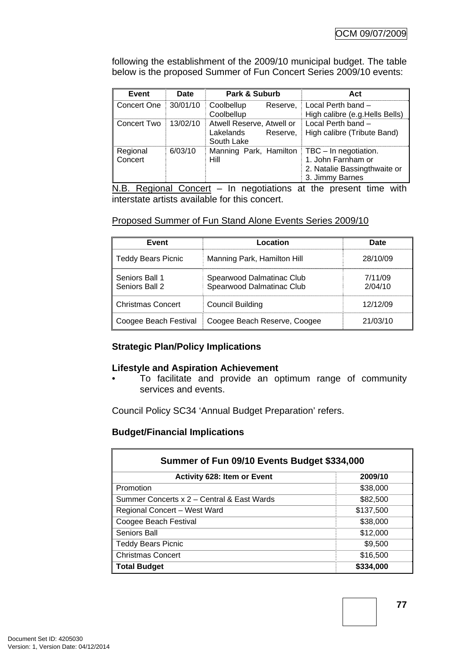following the establishment of the 2009/10 municipal budget. The table below is the proposed Summer of Fun Concert Series 2009/10 events:

| Event               | Date     | Park & Suburb                                                    | Act                                                                                            |
|---------------------|----------|------------------------------------------------------------------|------------------------------------------------------------------------------------------------|
| Concert One         | 30/01/10 | Coolbellup<br>Reserve.<br>Coolbellup                             | Local Perth band -<br>High calibre (e.g. Hells Bells)                                          |
| I Concert Two       | 13/02/10 | Atwell Reserve, Atwell or<br>Lakelands<br>Reserve.<br>South Lake | Local Perth band -<br>High calibre (Tribute Band)                                              |
| Regional<br>Concert | 6/03/10  | Manning Park, Hamilton<br><b>Hill</b>                            | TBC - In negotiation.<br>1. John Farnham or<br>2. Natalie Bassingthwaite or<br>3. Jimmy Barnes |

 $N.B.$  Regional Concert – In negotiations at the present time with interstate artists available for this concert.

### Proposed Summer of Fun Stand Alone Events Series 2009/10

| Event                            | Location                                               | Date               |
|----------------------------------|--------------------------------------------------------|--------------------|
| <b>Teddy Bears Picnic</b>        | Manning Park, Hamilton Hill                            | 28/10/09           |
| Seniors Ball 1<br>Seniors Ball 2 | Spearwood Dalmatinac Club<br>Spearwood Dalmatinac Club | 7/11/09<br>2/04/10 |
| <b>Christmas Concert</b>         | <b>Council Building</b>                                | 12/12/09           |
| Coogee Beach Festival            | Coogee Beach Reserve, Coogee                           | 21/03/10           |

### **Strategic Plan/Policy Implications**

### **Lifestyle and Aspiration Achievement**

• To facilitate and provide an optimum range of community services and events.

Council Policy SC34 'Annual Budget Preparation' refers.

### **Budget/Financial Implications**

| Summer of Fun 09/10 Events Budget \$334,000 |           |  |  |
|---------------------------------------------|-----------|--|--|
| <b>Activity 628: Item or Event</b>          | 2009/10   |  |  |
| Promotion                                   | \$38,000  |  |  |
| Summer Concerts x 2 – Central & East Wards  | \$82,500  |  |  |
| Regional Concert - West Ward                | \$137,500 |  |  |
| Coogee Beach Festival                       | \$38,000  |  |  |
| Seniors Ball                                | \$12,000  |  |  |
| <b>Teddy Bears Picnic</b>                   | \$9,500   |  |  |
| <b>Christmas Concert</b>                    | \$16,500  |  |  |
| <b>Total Budget</b>                         | \$334,000 |  |  |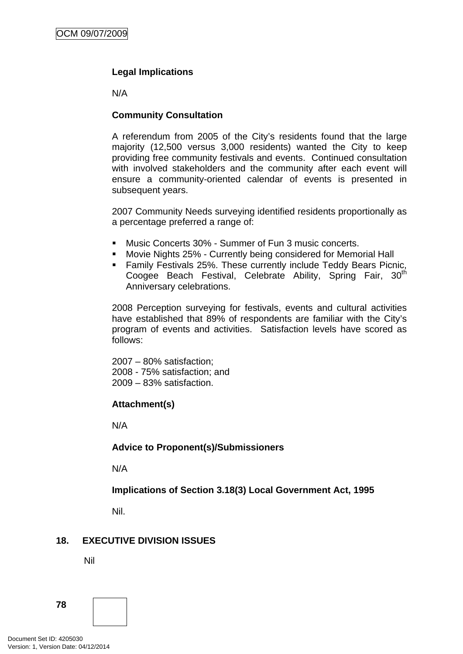# **Legal Implications**

N/A

# **Community Consultation**

A referendum from 2005 of the City's residents found that the large majority (12,500 versus 3,000 residents) wanted the City to keep providing free community festivals and events. Continued consultation with involved stakeholders and the community after each event will ensure a community-oriented calendar of events is presented in subsequent years.

2007 Community Needs surveying identified residents proportionally as a percentage preferred a range of:

- Music Concerts 30% Summer of Fun 3 music concerts.
- Movie Nights 25% Currently being considered for Memorial Hall
- **Family Festivals 25%. These currently include Teddy Bears Picnic,** Coogee Beach Festival, Celebrate Ability, Spring Fair, 30<sup>th</sup> Anniversary celebrations.

2008 Perception surveying for festivals, events and cultural activities have established that 89% of respondents are familiar with the City's program of events and activities. Satisfaction levels have scored as follows:

2007 – 80% satisfaction; 2008 - 75% satisfaction; and 2009 – 83% satisfaction.

### **Attachment(s)**

N/A

### **Advice to Proponent(s)/Submissioners**

N/A

**Implications of Section 3.18(3) Local Government Act, 1995**

Nil.

# **18. EXECUTIVE DIVISION ISSUES**

Nil

**78**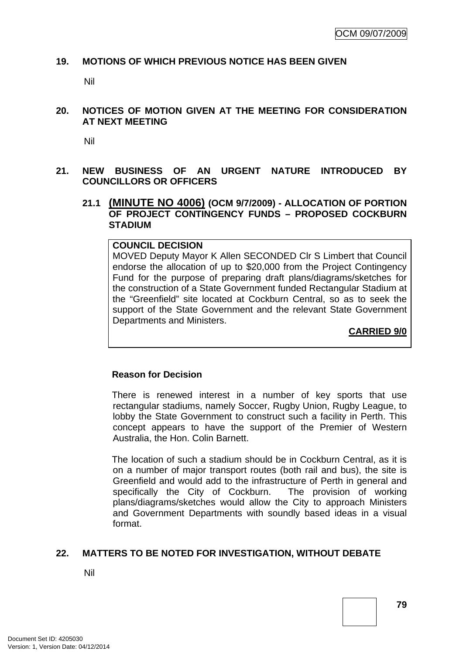### **19. MOTIONS OF WHICH PREVIOUS NOTICE HAS BEEN GIVEN**

Nil

### **20. NOTICES OF MOTION GIVEN AT THE MEETING FOR CONSIDERATION AT NEXT MEETING**

Nil

# **21. NEW BUSINESS OF AN URGENT NATURE INTRODUCED BY COUNCILLORS OR OFFICERS**

# **21.1 (MINUTE NO 4006) (OCM 9/7/2009) - ALLOCATION OF PORTION OF PROJECT CONTINGENCY FUNDS – PROPOSED COCKBURN STADIUM**

### **COUNCIL DECISION**  MOVED Deputy Mayor K Allen SECONDED Clr S Limbert that Council endorse the allocation of up to \$20,000 from the Project Contingency Fund for the purpose of preparing draft plans/diagrams/sketches for the construction of a State Government funded Rectangular Stadium at the "Greenfield" site located at Cockburn Central, so as to seek the support of the State Government and the relevant State Government Departments and Ministers.

**CARRIED 9/0**

### **Reason for Decision**

There is renewed interest in a number of key sports that use rectangular stadiums, namely Soccer, Rugby Union, Rugby League, to lobby the State Government to construct such a facility in Perth. This concept appears to have the support of the Premier of Western Australia, the Hon. Colin Barnett.

The location of such a stadium should be in Cockburn Central, as it is on a number of major transport routes (both rail and bus), the site is Greenfield and would add to the infrastructure of Perth in general and specifically the City of Cockburn. The provision of working plans/diagrams/sketches would allow the City to approach Ministers and Government Departments with soundly based ideas in a visual format.

### **22. MATTERS TO BE NOTED FOR INVESTIGATION, WITHOUT DEBATE**

Nil